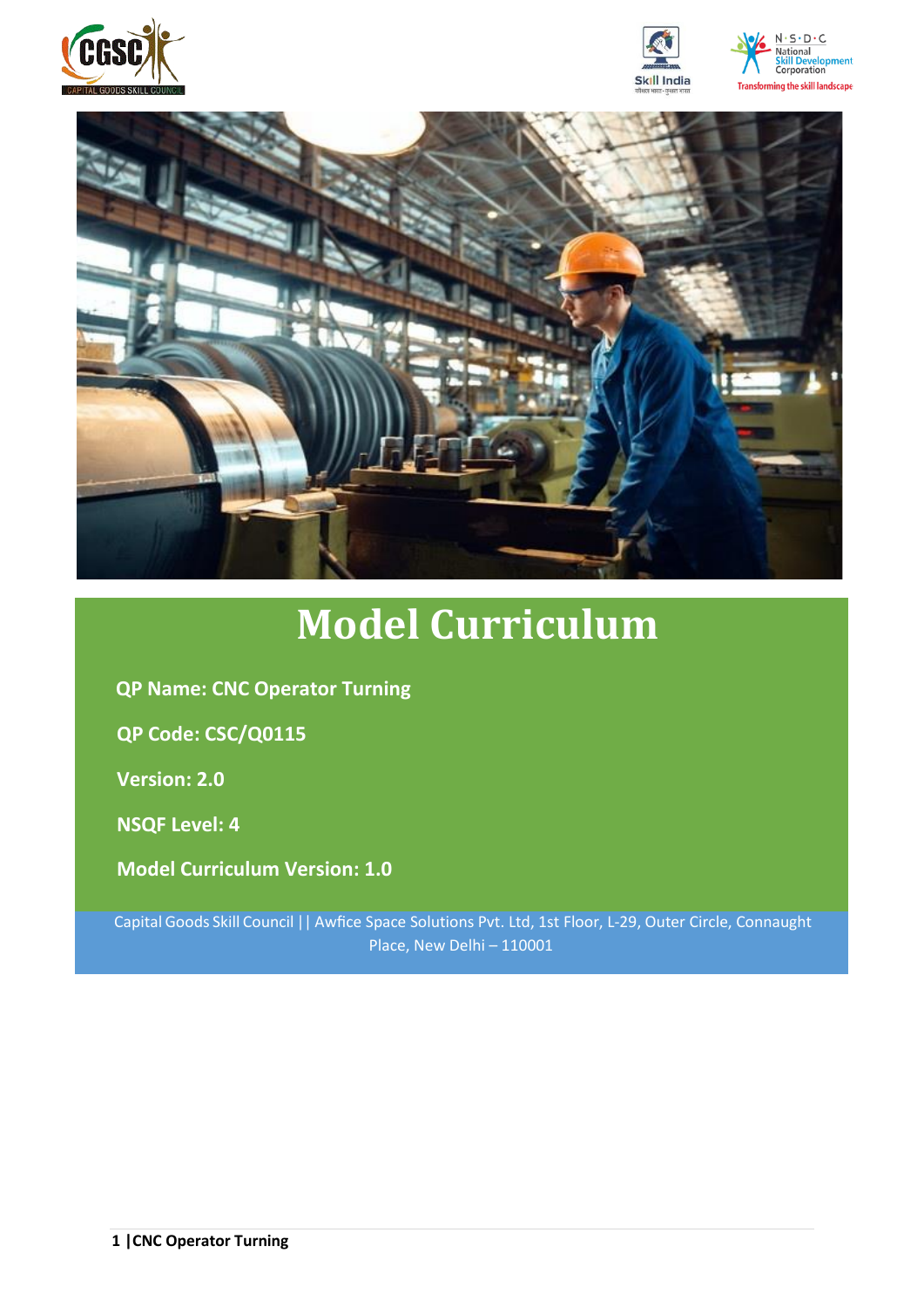







# **Model Curriculum**

**QP Name: CNC Operator Turning** 

**QP Code: CSC/Q0115**

**Version: 2.0**

**NSQF Level: 4**

**Model Curriculum Version: 1.0**

Capital Goods Skill Council || Awfice Space Solutions Pvt. Ltd, 1st Floor, L-29, Outer Circle, Connaught Place, New Delhi – 110001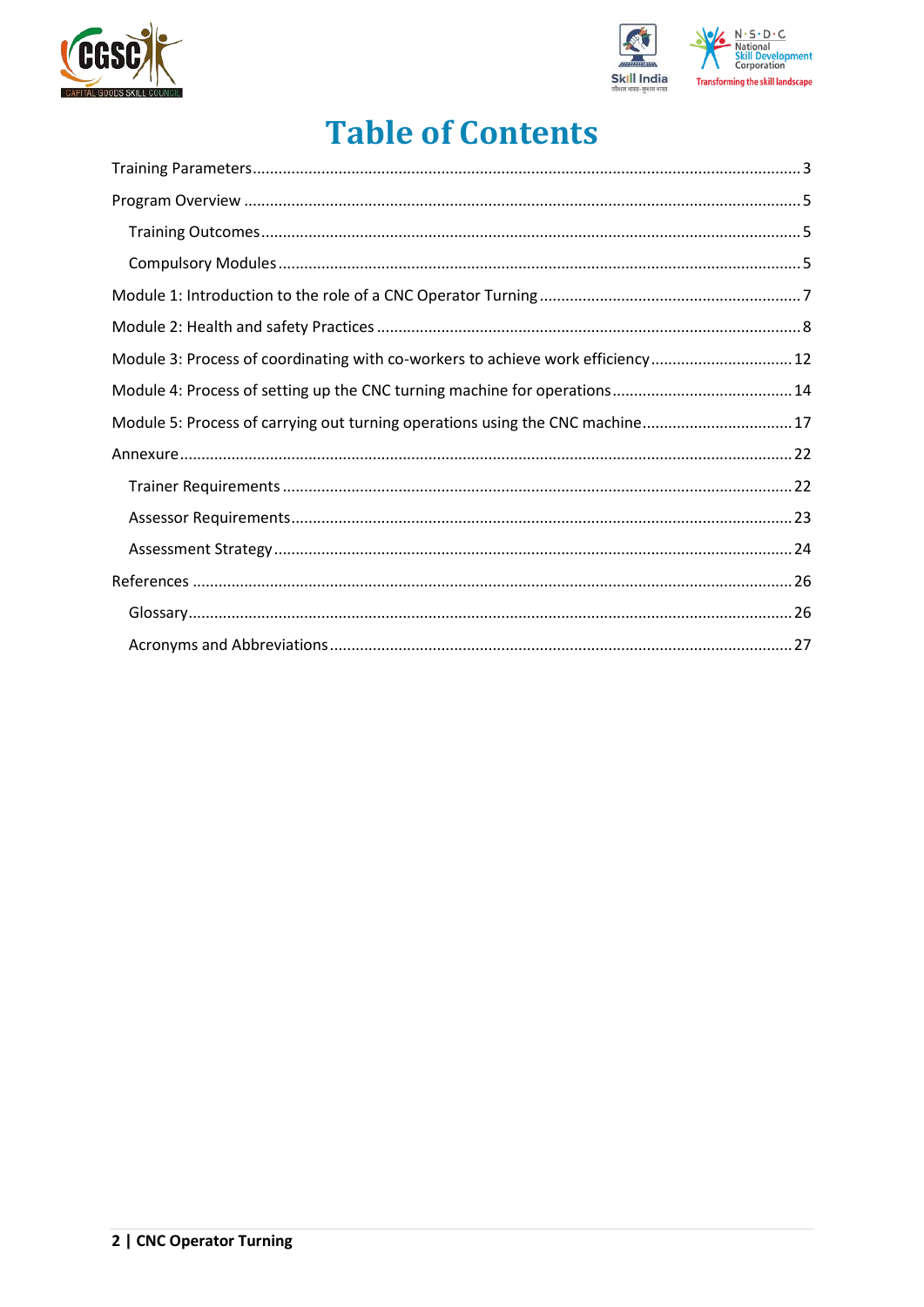



## **Table of Contents**

| Module 3: Process of coordinating with co-workers to achieve work efficiency 12 |  |
|---------------------------------------------------------------------------------|--|
|                                                                                 |  |
| Module 5: Process of carrying out turning operations using the CNC machine 17   |  |
|                                                                                 |  |
|                                                                                 |  |
|                                                                                 |  |
|                                                                                 |  |
|                                                                                 |  |
|                                                                                 |  |
|                                                                                 |  |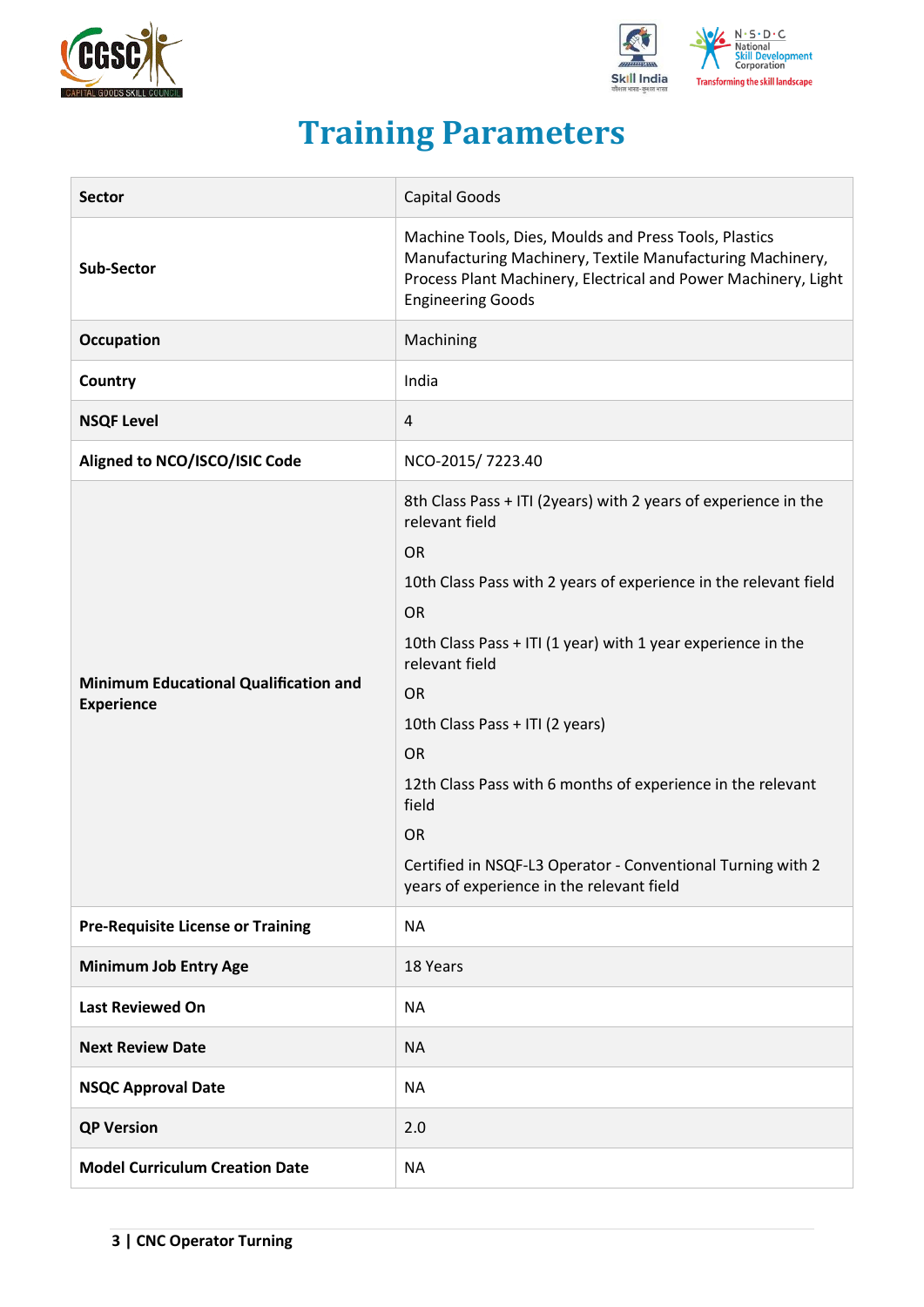



## **Training Parameters**

<span id="page-2-0"></span>

| <b>Sector</b>                                                     | Capital Goods                                                                                                                                                                                                                                                                                                                                                                                                                                                                                                                   |  |  |
|-------------------------------------------------------------------|---------------------------------------------------------------------------------------------------------------------------------------------------------------------------------------------------------------------------------------------------------------------------------------------------------------------------------------------------------------------------------------------------------------------------------------------------------------------------------------------------------------------------------|--|--|
| Sub-Sector                                                        | Machine Tools, Dies, Moulds and Press Tools, Plastics<br>Manufacturing Machinery, Textile Manufacturing Machinery,<br>Process Plant Machinery, Electrical and Power Machinery, Light<br><b>Engineering Goods</b>                                                                                                                                                                                                                                                                                                                |  |  |
| Occupation                                                        | Machining                                                                                                                                                                                                                                                                                                                                                                                                                                                                                                                       |  |  |
| Country                                                           | India                                                                                                                                                                                                                                                                                                                                                                                                                                                                                                                           |  |  |
| <b>NSQF Level</b>                                                 | 4                                                                                                                                                                                                                                                                                                                                                                                                                                                                                                                               |  |  |
| Aligned to NCO/ISCO/ISIC Code                                     | NCO-2015/7223.40                                                                                                                                                                                                                                                                                                                                                                                                                                                                                                                |  |  |
| <b>Minimum Educational Qualification and</b><br><b>Experience</b> | 8th Class Pass + ITI (2years) with 2 years of experience in the<br>relevant field<br><b>OR</b><br>10th Class Pass with 2 years of experience in the relevant field<br><b>OR</b><br>10th Class Pass + ITI (1 year) with 1 year experience in the<br>relevant field<br><b>OR</b><br>10th Class Pass + ITI (2 years)<br><b>OR</b><br>12th Class Pass with 6 months of experience in the relevant<br>field<br><b>OR</b><br>Certified in NSQF-L3 Operator - Conventional Turning with 2<br>years of experience in the relevant field |  |  |
| <b>Pre-Requisite License or Training</b>                          | <b>NA</b>                                                                                                                                                                                                                                                                                                                                                                                                                                                                                                                       |  |  |
| <b>Minimum Job Entry Age</b>                                      | 18 Years                                                                                                                                                                                                                                                                                                                                                                                                                                                                                                                        |  |  |
| <b>Last Reviewed On</b>                                           | <b>NA</b>                                                                                                                                                                                                                                                                                                                                                                                                                                                                                                                       |  |  |
| <b>Next Review Date</b>                                           | <b>NA</b>                                                                                                                                                                                                                                                                                                                                                                                                                                                                                                                       |  |  |
| <b>NSQC Approval Date</b>                                         | <b>NA</b>                                                                                                                                                                                                                                                                                                                                                                                                                                                                                                                       |  |  |
| <b>QP Version</b>                                                 | 2.0                                                                                                                                                                                                                                                                                                                                                                                                                                                                                                                             |  |  |
| <b>Model Curriculum Creation Date</b>                             | <b>NA</b>                                                                                                                                                                                                                                                                                                                                                                                                                                                                                                                       |  |  |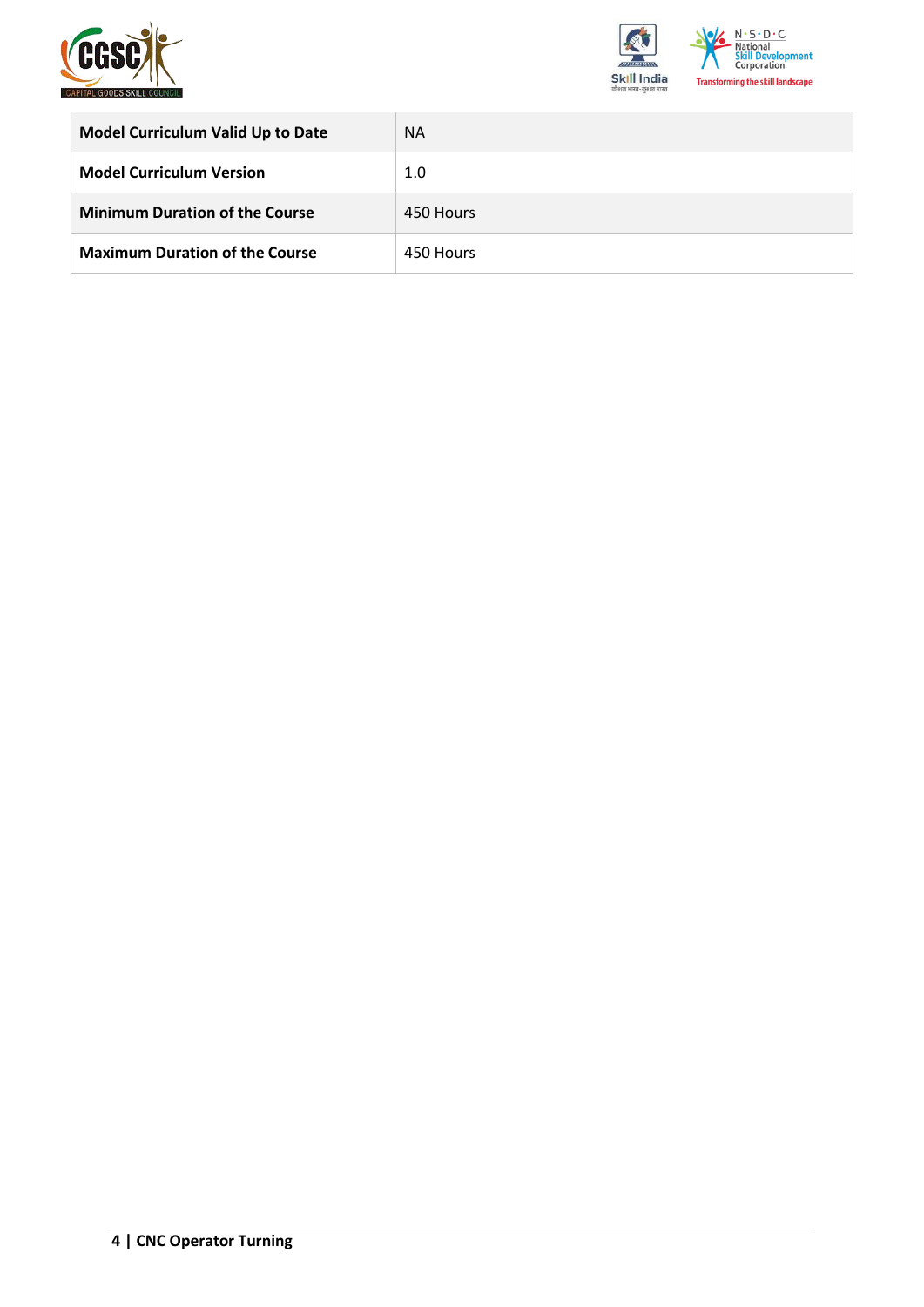



| <b>Model Curriculum Valid Up to Date</b> | <b>NA</b> |
|------------------------------------------|-----------|
| <b>Model Curriculum Version</b>          | 1.0       |
| <b>Minimum Duration of the Course</b>    | 450 Hours |
| <b>Maximum Duration of the Course</b>    | 450 Hours |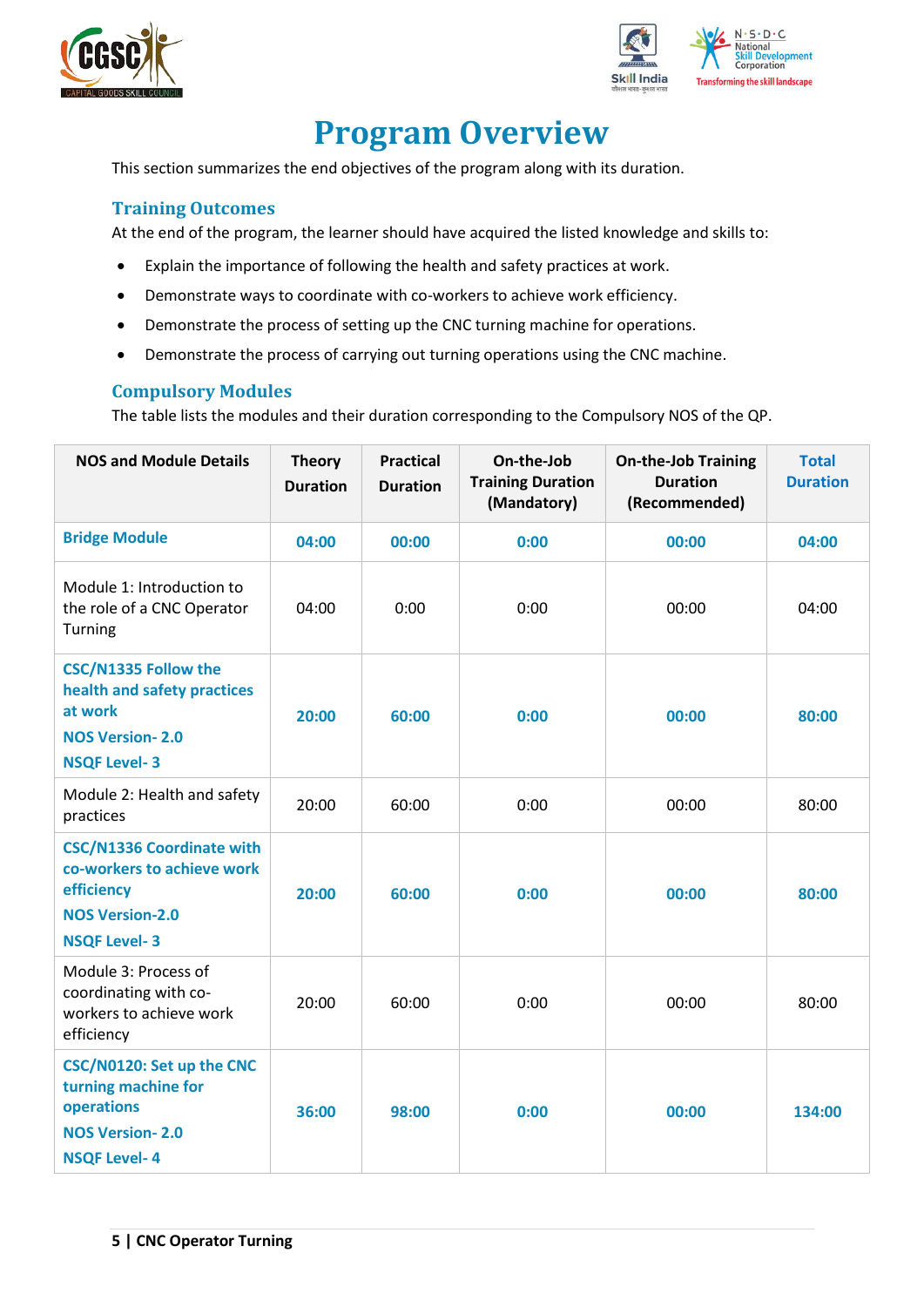



## **Program Overview**

<span id="page-4-0"></span>This section summarizes the end objectives of the program along with its duration.

## <span id="page-4-1"></span>**Training Outcomes**

At the end of the program, the learner should have acquired the listed knowledge and skills to:

- Explain the importance of following the health and safety practices at work.
- Demonstrate ways to coordinate with co-workers to achieve work efficiency.
- Demonstrate the process of setting up the CNC turning machine for operations.
- Demonstrate the process of carrying out turning operations using the CNC machine.

## <span id="page-4-2"></span>**Compulsory Modules**

The table lists the modules and their duration corresponding to the Compulsory NOS of the QP.

| <b>NOS and Module Details</b>                                                                                                 | <b>Theory</b><br><b>Duration</b> | <b>Practical</b><br><b>Duration</b> | On-the-Job<br><b>Training Duration</b><br>(Mandatory) | <b>On-the-Job Training</b><br><b>Duration</b><br>(Recommended) |        |
|-------------------------------------------------------------------------------------------------------------------------------|----------------------------------|-------------------------------------|-------------------------------------------------------|----------------------------------------------------------------|--------|
| <b>Bridge Module</b>                                                                                                          | 04:00                            | 00:00                               | 0:00                                                  | 00:00                                                          | 04:00  |
| Module 1: Introduction to<br>the role of a CNC Operator<br>Turning                                                            | 04:00                            | 0:00                                | 0:00                                                  | 00:00                                                          | 04:00  |
| <b>CSC/N1335 Follow the</b><br>health and safety practices<br>at work<br><b>NOS Version-2.0</b><br><b>NSQF Level-3</b>        | 20:00                            | 60:00                               | 0:00                                                  | 00:00                                                          |        |
| Module 2: Health and safety<br>practices                                                                                      | 20:00                            | 60:00                               | 0:00                                                  | 00:00                                                          | 80:00  |
| <b>CSC/N1336 Coordinate with</b><br>co-workers to achieve work<br>efficiency<br><b>NOS Version-2.0</b><br><b>NSQF Level-3</b> | 20:00                            | 60:00                               | 0:00                                                  | 00:00                                                          | 80:00  |
| Module 3: Process of<br>coordinating with co-<br>workers to achieve work<br>efficiency                                        | 20:00                            | 60:00                               | 0:00                                                  | 00:00                                                          | 80:00  |
| CSC/N0120: Set up the CNC<br>turning machine for<br>operations<br><b>NOS Version-2.0</b><br><b>NSQF Level-4</b>               | 36:00                            | 98:00                               | 0:00                                                  | 00:00                                                          | 134:00 |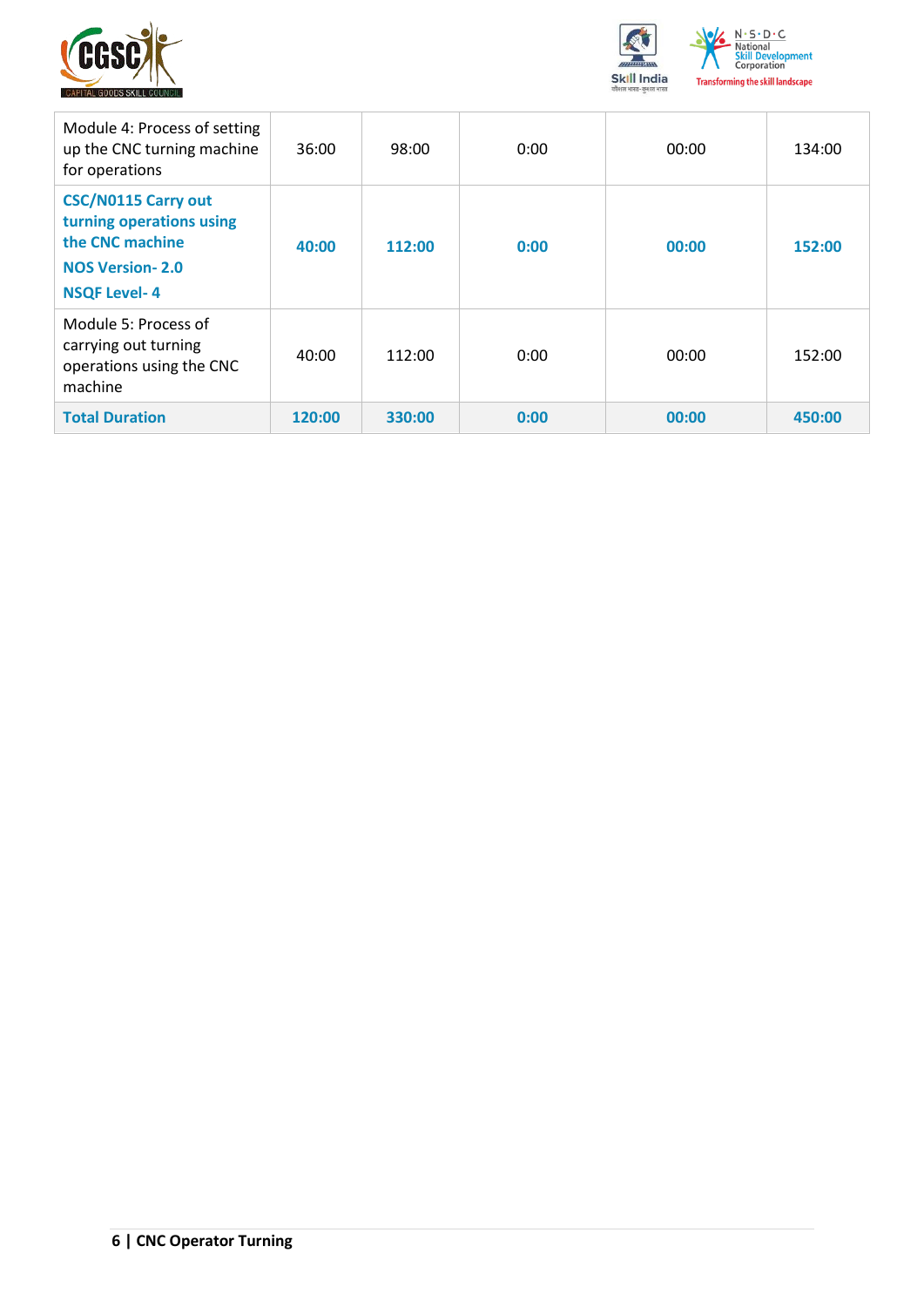



| Module 4: Process of setting<br>up the CNC turning machine<br>for operations                                               | 36:00  | 98:00  | 0:00 | 00:00 | 134:00 |
|----------------------------------------------------------------------------------------------------------------------------|--------|--------|------|-------|--------|
| <b>CSC/N0115 Carry out</b><br>turning operations using<br>the CNC machine<br><b>NOS Version-2.0</b><br><b>NSQF Level-4</b> | 40:00  | 112:00 | 0:00 | 00:00 | 152:00 |
| Module 5: Process of<br>carrying out turning<br>operations using the CNC<br>machine                                        | 40:00  | 112:00 | 0:00 | 00:00 | 152:00 |
| <b>Total Duration</b>                                                                                                      | 120:00 | 330:00 | 0:00 | 00:00 | 450:00 |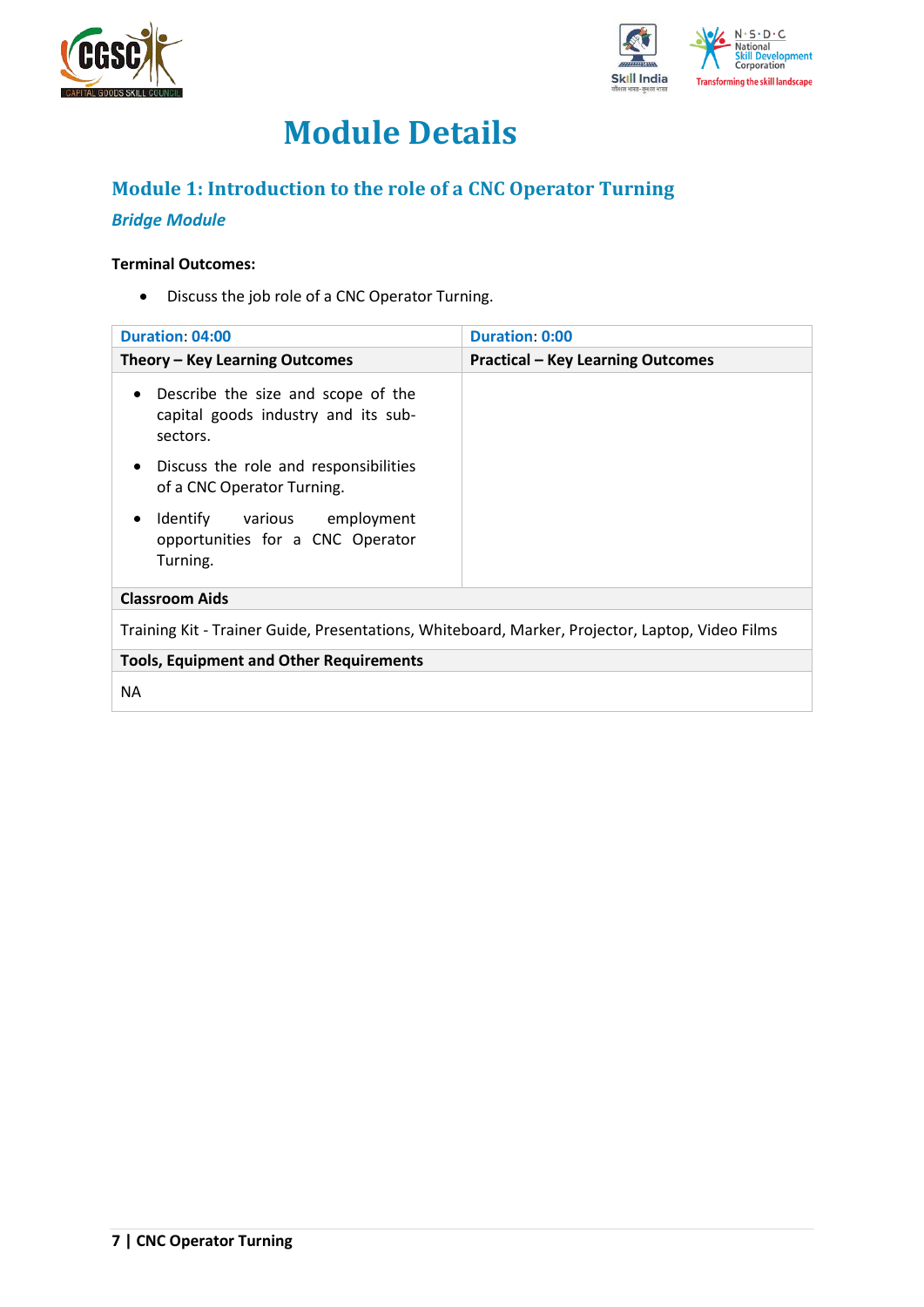



## **Module Details**

## <span id="page-6-0"></span>**Module 1: Introduction to the role of a CNC Operator Turning**

## *Bridge Module*

### **Terminal Outcomes:**

• Discuss the job role of a CNC Operator Turning.

| <b>Duration: 04:00</b>                                                                             | Duration 0:00                            |
|----------------------------------------------------------------------------------------------------|------------------------------------------|
| Theory – Key Learning Outcomes                                                                     | <b>Practical - Key Learning Outcomes</b> |
| Describe the size and scope of the<br>$\bullet$<br>capital goods industry and its sub-<br>sectors. |                                          |
| Discuss the role and responsibilities<br>$\bullet$<br>of a CNC Operator Turning.                   |                                          |
| Identify various employment<br>$\bullet$<br>opportunities for a CNC Operator<br>Turning.           |                                          |
| <b>Classroom Aids</b>                                                                              |                                          |
| Training Kit - Trainer Guide, Presentations, Whiteboard, Marker, Projector, Laptop, Video Films    |                                          |
| <b>Tools, Equipment and Other Requirements</b>                                                     |                                          |
| <b>NA</b>                                                                                          |                                          |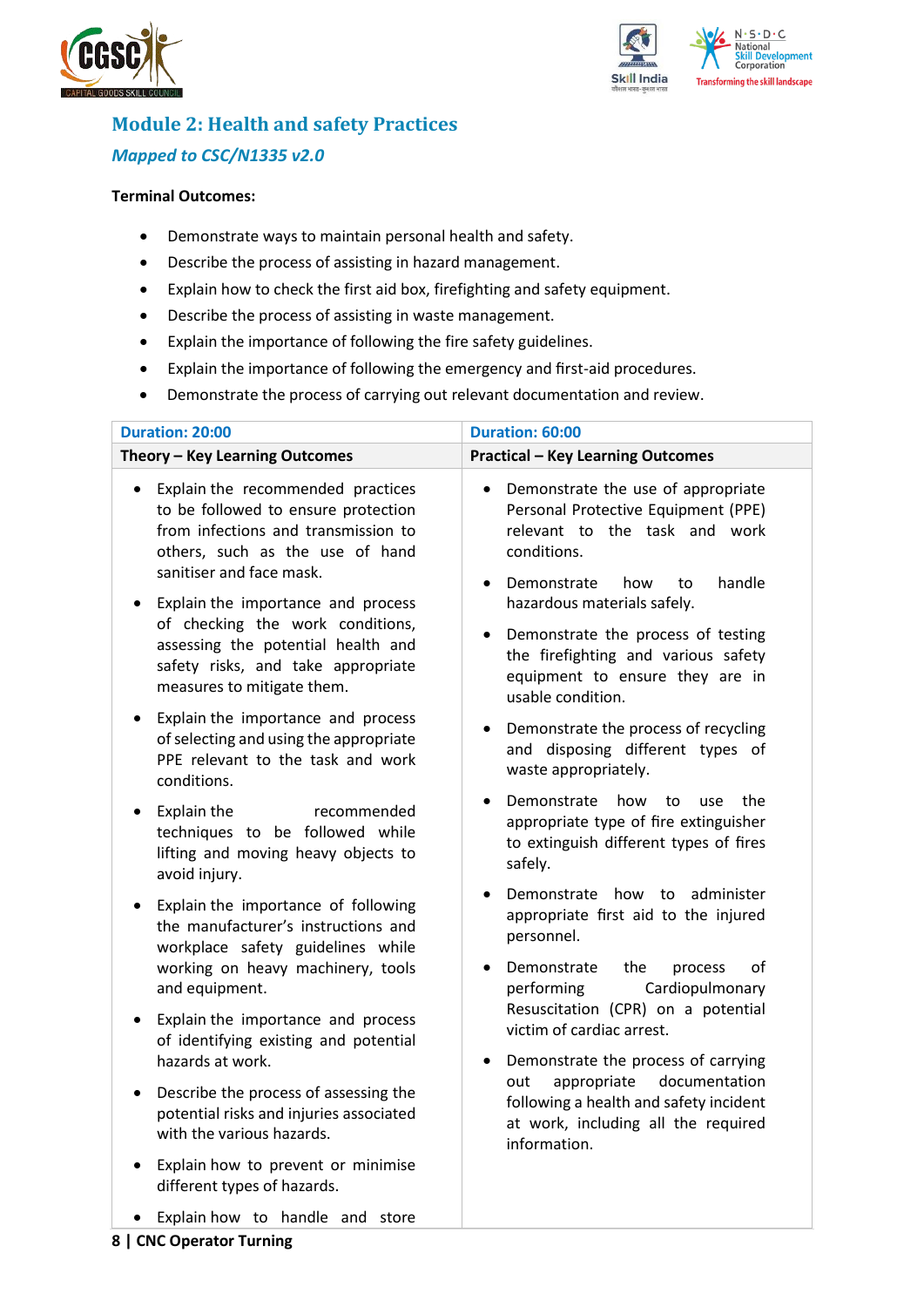



## <span id="page-7-0"></span>**Module 2: Health and safety Practices** *Mapped to CSC/N1335 v2.0*

### **Terminal Outcomes:**

- Demonstrate ways to maintain personal health and safety.
- Describe the process of assisting in hazard management.
- Explain how to check the first aid box, firefighting and safety equipment.
- Describe the process of assisting in waste management.
- Explain the importance of following the fire safety guidelines.
- Explain the importance of following the emergency and first-aid procedures.
- Demonstrate the process of carrying out relevant documentation and review.

| <b>Duration: 20:00</b>                                                                                                                                                                      | Duration: 60:00                                                                                                                                                              |
|---------------------------------------------------------------------------------------------------------------------------------------------------------------------------------------------|------------------------------------------------------------------------------------------------------------------------------------------------------------------------------|
| Theory - Key Learning Outcomes                                                                                                                                                              | <b>Practical - Key Learning Outcomes</b>                                                                                                                                     |
| Explain the recommended practices<br>$\bullet$<br>to be followed to ensure protection<br>from infections and transmission to<br>others, such as the use of hand<br>sanitiser and face mask. | Demonstrate the use of appropriate<br>$\bullet$<br>Personal Protective Equipment (PPE)<br>relevant to the task and work<br>conditions.<br>Demonstrate<br>handle<br>how<br>to |
| Explain the importance and process<br>of checking the work conditions,<br>assessing the potential health and<br>safety risks, and take appropriate<br>measures to mitigate them.            | hazardous materials safely.<br>Demonstrate the process of testing<br>the firefighting and various safety<br>equipment to ensure they are in<br>usable condition.             |
| Explain the importance and process<br>of selecting and using the appropriate<br>PPE relevant to the task and work<br>conditions.                                                            | Demonstrate the process of recycling<br>٠<br>and disposing different types of<br>waste appropriately.                                                                        |
| Explain the<br>recommended<br>$\bullet$<br>techniques to be followed while<br>lifting and moving heavy objects to<br>avoid injury.                                                          | Demonstrate<br>how<br>the<br>to<br>use<br>appropriate type of fire extinguisher<br>to extinguish different types of fires<br>safely.                                         |
| Explain the importance of following<br>٠<br>the manufacturer's instructions and<br>workplace safety guidelines while<br>working on heavy machinery, tools                                   | Demonstrate<br>administer<br>how<br>to<br>appropriate first aid to the injured<br>personnel.<br>Demonstrate<br>the<br>οf<br>process                                          |
| and equipment.<br>Explain the importance and process<br>of identifying existing and potential<br>hazards at work.                                                                           | Cardiopulmonary<br>performing<br>Resuscitation (CPR) on a potential<br>victim of cardiac arrest.<br>Demonstrate the process of carrying<br>٠                                 |
| Describe the process of assessing the<br>$\bullet$<br>potential risks and injuries associated<br>with the various hazards.                                                                  | documentation<br>appropriate<br>out<br>following a health and safety incident<br>at work, including all the required<br>information.                                         |
| Explain how to prevent or minimise<br>different types of hazards.                                                                                                                           |                                                                                                                                                                              |
| Explain how to handle and store                                                                                                                                                             |                                                                                                                                                                              |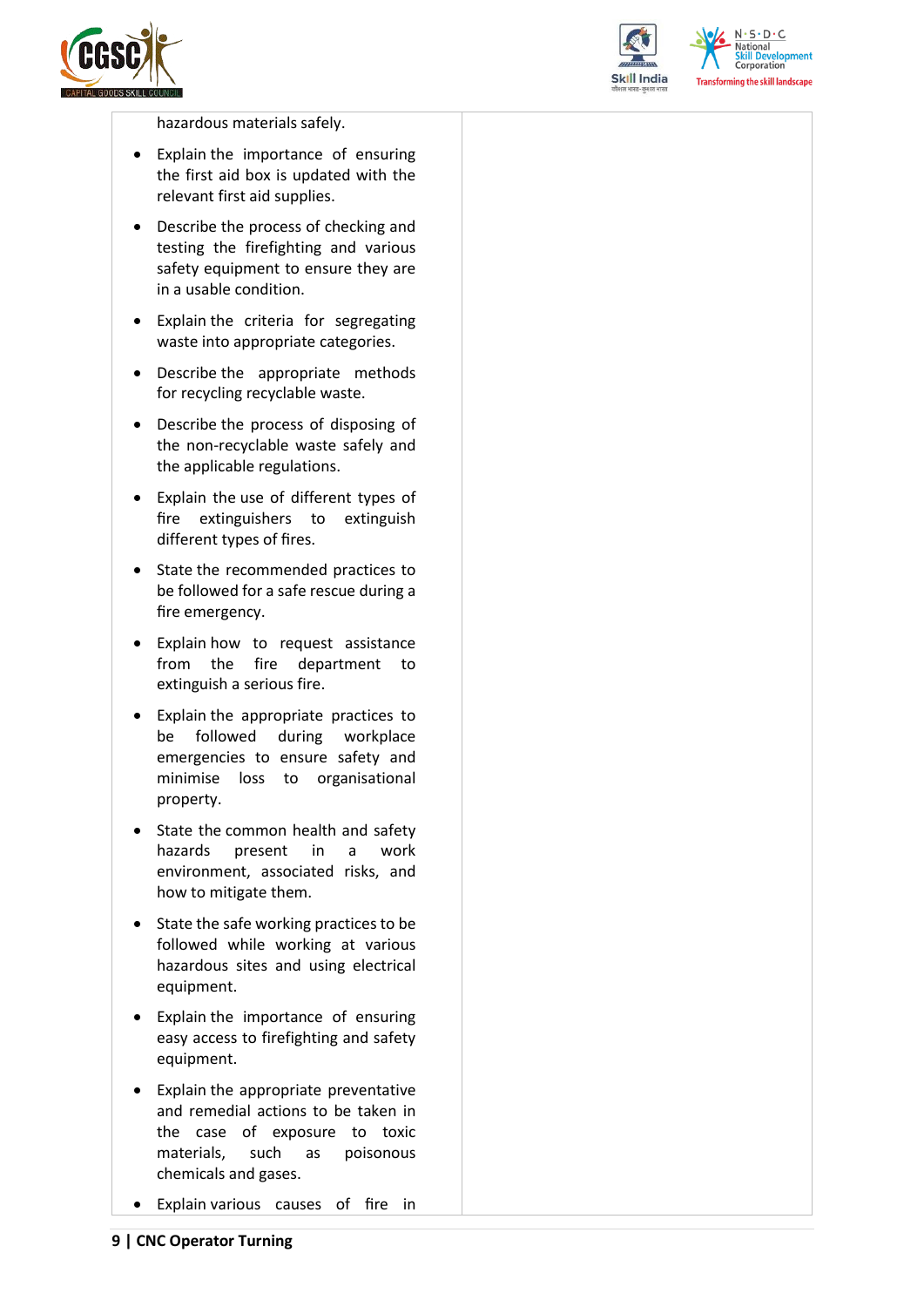



 $N.5.0.6$ **National** elopment **Corporation Transforming the skill landscape** 

hazardous materials safely.

- Explain the importance of ensuring the first aid box is updated with the relevant first aid supplies.
- Describe the process of checking and testing the firefighting and various safety equipment to ensure they are in a usable condition.
- Explain the criteria for segregating waste into appropriate categories.
- Describe the appropriate methods for recycling recyclable waste.
- Describe the process of disposing of the non-recyclable waste safely and the applicable regulations.
- Explain the use of different types of fire extinguishers to extinguish different types of fires.
- State the recommended practices to be followed for a safe rescue during a fire emergency.
- Explain how to request assistance from the fire department to extinguish a serious fire.
- Explain the appropriate practices to be followed during workplace emergencies to ensure safety and minimise loss to organisational property.
- State the common health and safety hazards present in a work environment, associated risks, and how to mitigate them.
- State the safe working practices to be followed while working at various hazardous sites and using electrical equipment.
- Explain the importance of ensuring easy access to firefighting and safety equipment.
- Explain the appropriate preventative and remedial actions to be taken in the case of exposure to toxic materials, such as poisonous chemicals and gases.
- Explain various causes of fire in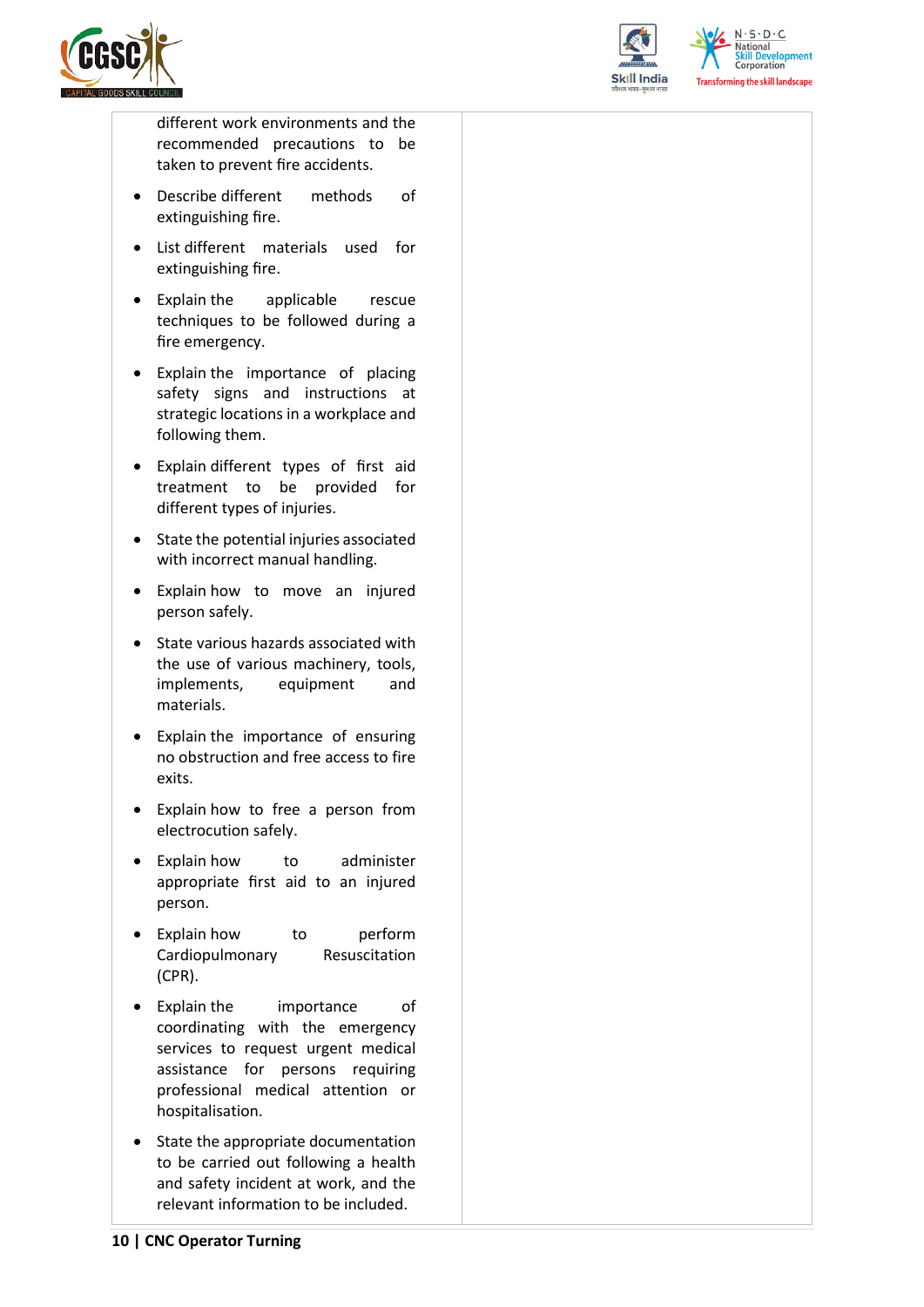



 $N.5.0.6$ National **Skill Development**<br>Corporation **Transforming the skill landscape** 

different work environments and the recommended precautions to be taken to prevent fire accidents.

- Describe different methods of extinguishing fire.
- List different materials used for extinguishing fire.
- Explain the applicable rescue techniques to be followed during a fire emergency.
- Explain the importance of placing safety signs and instructions at strategic locations in a workplace and following them.
- Explain different types of first aid treatment to be provided for different types of injuries.
- State the potential injuries associated with incorrect manual handling.
- Explain how to move an injured person safely.
- State various hazards associated with the use of various machinery, tools, implements, equipment and materials.
- Explain the importance of ensuring no obstruction and free access to fire exits.
- Explain how to free a person from electrocution safely.
- Explain how to administer appropriate first aid to an injured person.
- Explain how to perform Cardiopulmonary Resuscitation (CPR).
- Explain the importance of coordinating with the emergency services to request urgent medical assistance for persons requiring professional medical attention or hospitalisation.
- State the appropriate documentation to be carried out following a health and safety incident at work, and the relevant information to be included.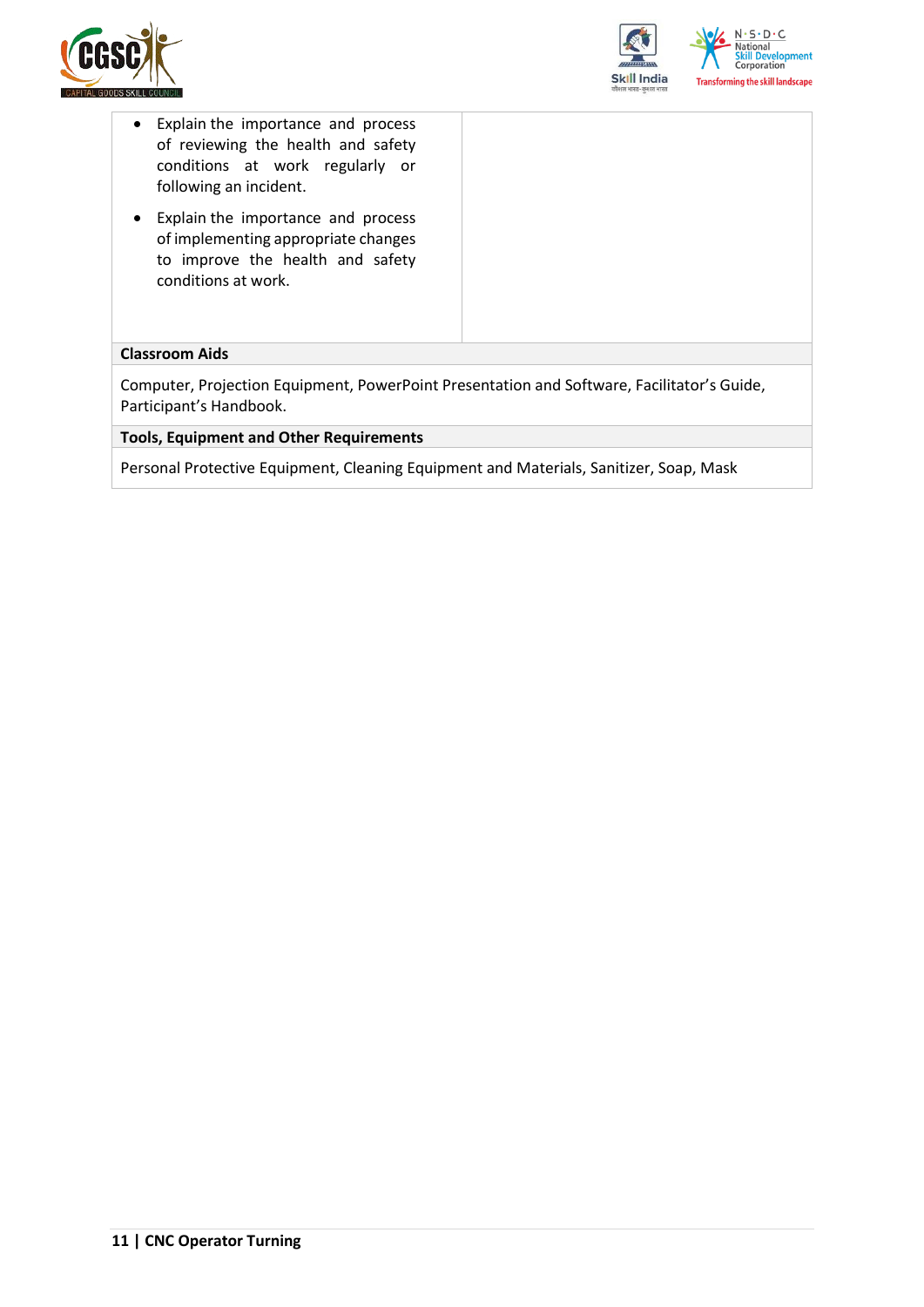



- Explain the importance and process of reviewing the health and safety conditions at work regularly or following an incident.
- Explain the importance and process of implementing appropriate changes to improve the health and safety conditions at work.

#### **Classroom Aids**

Computer, Projection Equipment, PowerPoint Presentation and Software, Facilitator's Guide, Participant's Handbook.

**Tools, Equipment and Other Requirements** 

Personal Protective Equipment, Cleaning Equipment and Materials, Sanitizer, Soap, Mask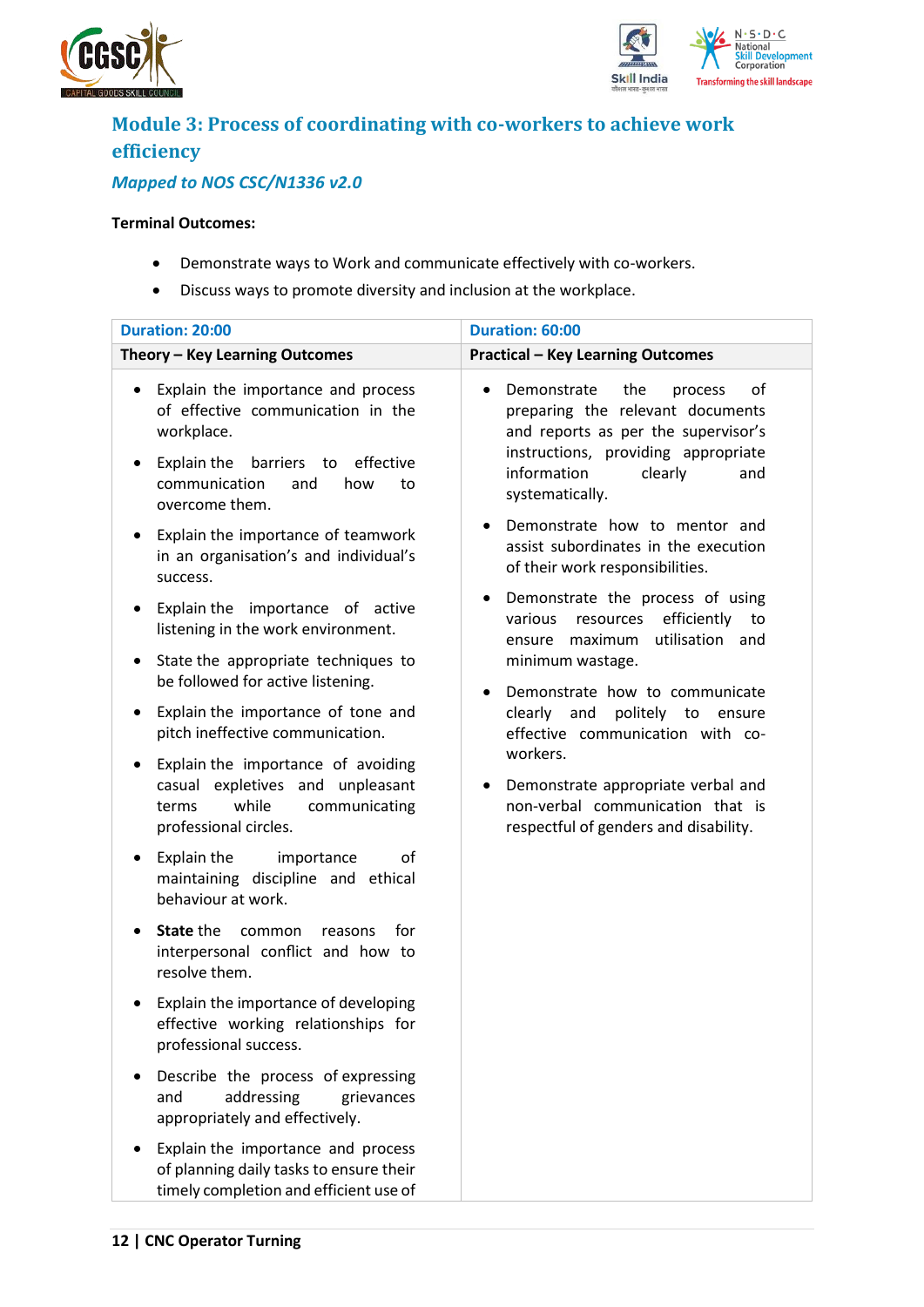



## <span id="page-11-0"></span>**Module 3: Process of coordinating with co-workers to achieve work efficiency**

## *Mapped to NOS CSC/N1336 v2.0*

### **Terminal Outcomes:**

- Demonstrate ways to Work and communicate effectively with co-workers.
- Discuss ways to promote diversity and inclusion at the workplace.

| <b>Duration: 20:00</b>                                                                                                                                                                       | Duration: 60:00                                                                                                                                                                                           |  |  |
|----------------------------------------------------------------------------------------------------------------------------------------------------------------------------------------------|-----------------------------------------------------------------------------------------------------------------------------------------------------------------------------------------------------------|--|--|
| Theory - Key Learning Outcomes                                                                                                                                                               | <b>Practical - Key Learning Outcomes</b>                                                                                                                                                                  |  |  |
| Explain the importance and process<br>of effective communication in the<br>workplace.<br>Explain the<br>barriers to<br>effective<br>٠<br>communication<br>and<br>how<br>to<br>overcome them. | Demonstrate<br>the<br>of<br>process<br>preparing the relevant documents<br>and reports as per the supervisor's<br>instructions, providing appropriate<br>information<br>clearly<br>and<br>systematically. |  |  |
| Explain the importance of teamwork<br>$\bullet$<br>in an organisation's and individual's<br>success.                                                                                         | Demonstrate how to mentor and<br>assist subordinates in the execution<br>of their work responsibilities.                                                                                                  |  |  |
| Explain the importance of active<br>٠<br>listening in the work environment.                                                                                                                  | Demonstrate the process of using<br>efficiently<br>various<br>resources<br>to<br>utilisation and<br>ensure maximum                                                                                        |  |  |
| State the appropriate techniques to<br>٠<br>be followed for active listening.                                                                                                                | minimum wastage.<br>Demonstrate how to communicate                                                                                                                                                        |  |  |
| Explain the importance of tone and<br>٠<br>pitch ineffective communication.                                                                                                                  | clearly and<br>politely to ensure<br>effective communication with co-                                                                                                                                     |  |  |
| Explain the importance of avoiding<br>٠<br>casual expletives and unpleasant<br>while<br>communicating<br>terms<br>professional circles.                                                      | workers.<br>Demonstrate appropriate verbal and<br>non-verbal communication that is<br>respectful of genders and disability.                                                                               |  |  |
| Explain the<br>importance<br>οf<br>٠<br>maintaining discipline and ethical<br>behaviour at work.                                                                                             |                                                                                                                                                                                                           |  |  |
| <b>State the</b><br>common<br>for<br>reasons<br>interpersonal conflict and how to<br>resolve them.                                                                                           |                                                                                                                                                                                                           |  |  |
| Explain the importance of developing<br>effective working relationships for<br>professional success.                                                                                         |                                                                                                                                                                                                           |  |  |
| Describe the process of expressing<br>addressing<br>and<br>grievances<br>appropriately and effectively.                                                                                      |                                                                                                                                                                                                           |  |  |
| Explain the importance and process<br>of planning daily tasks to ensure their<br>timely completion and efficient use of                                                                      |                                                                                                                                                                                                           |  |  |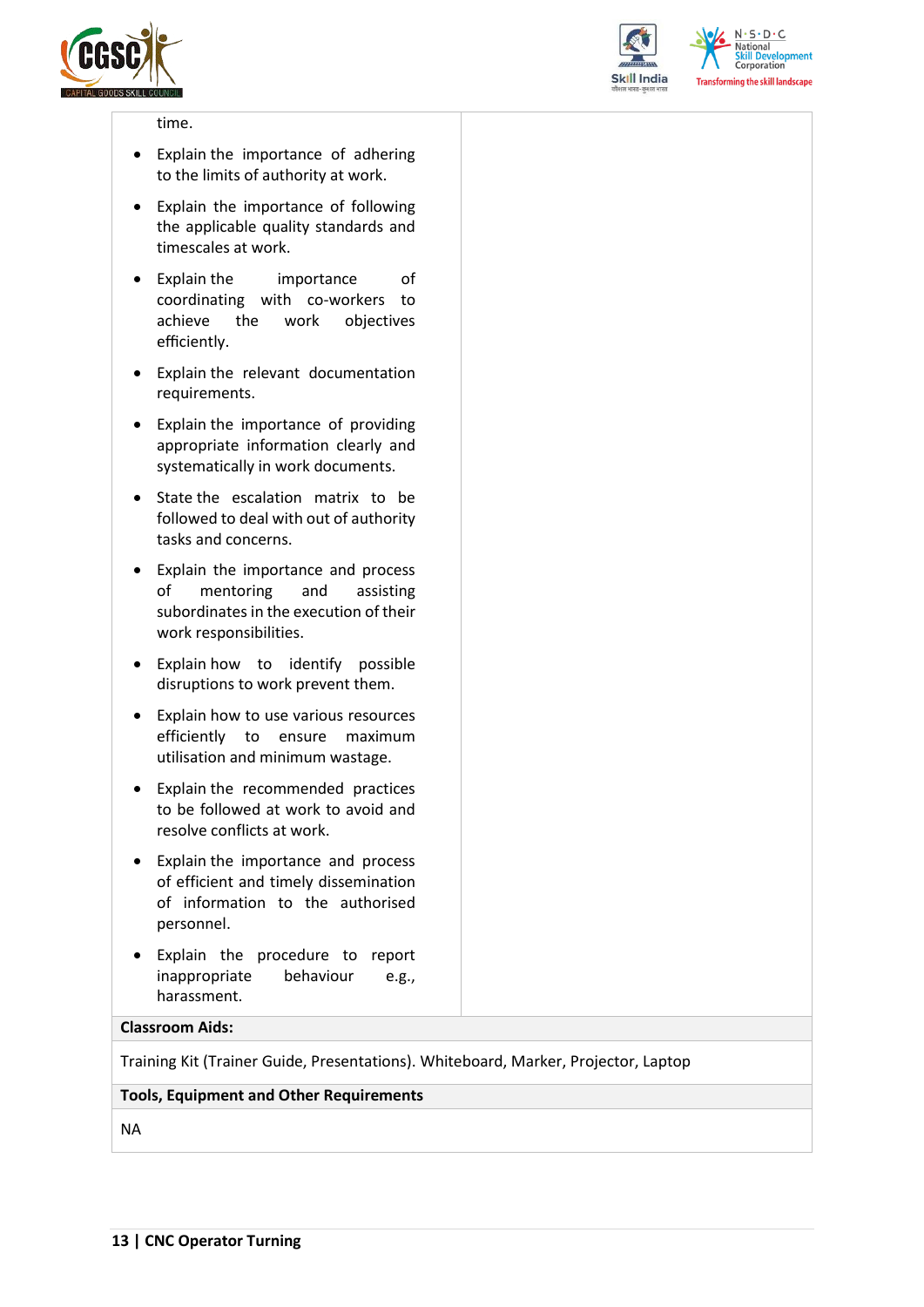



 $N.5.0.6$ **National Skill Development**<br>Corporation **Transforming the skill landscape** 

#### time.

- Explain the importance of adhering to the limits of authority at work.
- Explain the importance of following the applicable quality standards and timescales at work.
- Explain the importance of coordinating with co-workers to achieve the work objectives efficiently.
- Explain the relevant documentation requirements.
- Explain the importance of providing appropriate information clearly and systematically in work documents.
- State the escalation matrix to be followed to deal with out of authority tasks and concerns.
- Explain the importance and process of mentoring and assisting subordinates in the execution of their work responsibilities.
- Explain how to identify possible disruptions to work prevent them.
- Explain how to use various resources efficiently to ensure maximum utilisation and minimum wastage.
- Explain the recommended practices to be followed at work to avoid and resolve conflicts at work.
- Explain the importance and process of efficient and timely dissemination of information to the authorised personnel.
- Explain the procedure to report inappropriate behaviour e.g., harassment.

#### **Classroom Aids:**

Training Kit (Trainer Guide, Presentations). Whiteboard, Marker, Projector, Laptop

#### **Tools, Equipment and Other Requirements**

NA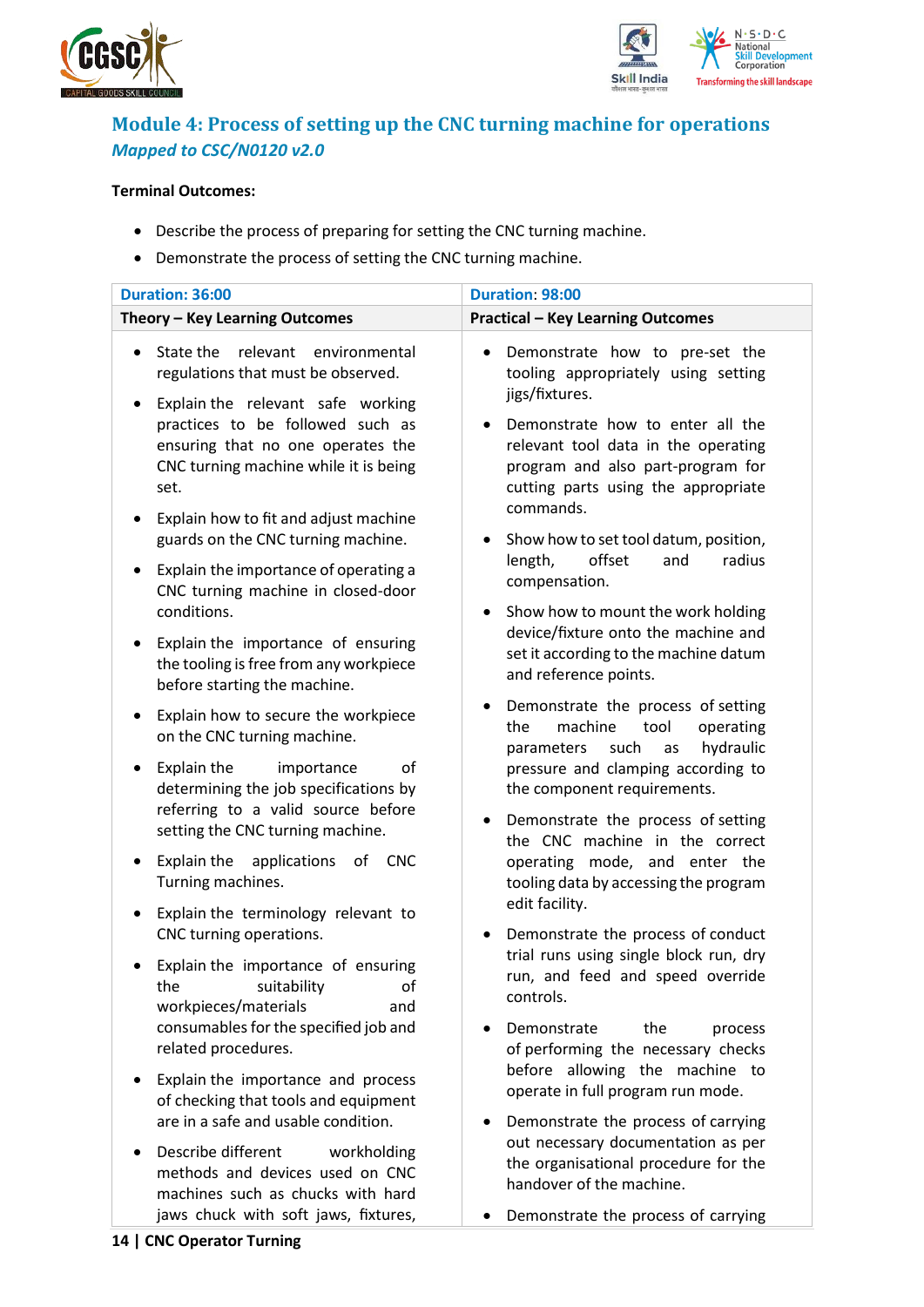



## <span id="page-13-0"></span>**Module 4: Process of setting up the CNC turning machine for operations** *Mapped to CSC/N0120 v2.0*

### **Terminal Outcomes:**

- Describe the process of preparing for setting the CNC turning machine.
- Demonstrate the process of setting the CNC turning machine.

| Duration: 36:00                                                                                                                     | Duration: 98:00                                                                                                                                                  |  |  |
|-------------------------------------------------------------------------------------------------------------------------------------|------------------------------------------------------------------------------------------------------------------------------------------------------------------|--|--|
| Theory - Key Learning Outcomes                                                                                                      | <b>Practical - Key Learning Outcomes</b>                                                                                                                         |  |  |
|                                                                                                                                     |                                                                                                                                                                  |  |  |
| State the<br>relevant<br>environmental<br>$\bullet$<br>regulations that must be observed.<br>Explain the relevant safe working<br>٠ | Demonstrate how to pre-set the<br>$\bullet$<br>tooling appropriately using setting<br>jigs/fixtures.                                                             |  |  |
| practices to be followed such as<br>ensuring that no one operates the<br>CNC turning machine while it is being<br>set.              | Demonstrate how to enter all the<br>relevant tool data in the operating<br>program and also part-program for<br>cutting parts using the appropriate<br>commands. |  |  |
| Explain how to fit and adjust machine<br>٠<br>guards on the CNC turning machine.                                                    | Show how to set tool datum, position,                                                                                                                            |  |  |
| Explain the importance of operating a<br>$\bullet$<br>CNC turning machine in closed-door                                            | offset<br>radius<br>length,<br>and<br>compensation.                                                                                                              |  |  |
| conditions.                                                                                                                         | Show how to mount the work holding<br>٠                                                                                                                          |  |  |
| Explain the importance of ensuring<br>$\bullet$<br>the tooling is free from any workpiece<br>before starting the machine.           | device/fixture onto the machine and<br>set it according to the machine datum<br>and reference points.                                                            |  |  |
| Explain how to secure the workpiece<br>٠<br>on the CNC turning machine.                                                             | Demonstrate the process of setting<br>machine<br>the<br>tool<br>operating<br>hydraulic<br>such<br>parameters<br>as                                               |  |  |
| Explain the<br>importance<br>of<br>$\bullet$<br>determining the job specifications by                                               | pressure and clamping according to<br>the component requirements.                                                                                                |  |  |
| referring to a valid source before<br>setting the CNC turning machine.                                                              | Demonstrate the process of setting<br>the CNC machine in the correct                                                                                             |  |  |
| <b>CNC</b><br>Explain the applications<br>of<br>$\bullet$<br>Turning machines.                                                      | operating mode, and enter the<br>tooling data by accessing the program                                                                                           |  |  |
| Explain the terminology relevant to<br>٠<br>CNC turning operations.                                                                 | edit facility.<br>Demonstrate the process of conduct                                                                                                             |  |  |
| Explain the importance of ensuring<br>suitability<br>the<br>οf<br>workpieces/materials<br>and                                       | trial runs using single block run, dry<br>run, and feed and speed override<br>controls.                                                                          |  |  |
| consumables for the specified job and<br>related procedures.                                                                        | Demonstrate<br>the<br>process<br>of performing the necessary checks                                                                                              |  |  |
| Explain the importance and process<br>of checking that tools and equipment                                                          | before allowing the machine to<br>operate in full program run mode.                                                                                              |  |  |
| are in a safe and usable condition.                                                                                                 | Demonstrate the process of carrying                                                                                                                              |  |  |
| Describe different<br>workholding<br>methods and devices used on CNC<br>machines such as chucks with hard                           | out necessary documentation as per<br>the organisational procedure for the<br>handover of the machine.                                                           |  |  |

• Demonstrate the process of carrying

jaws chuck with soft jaws, fixtures,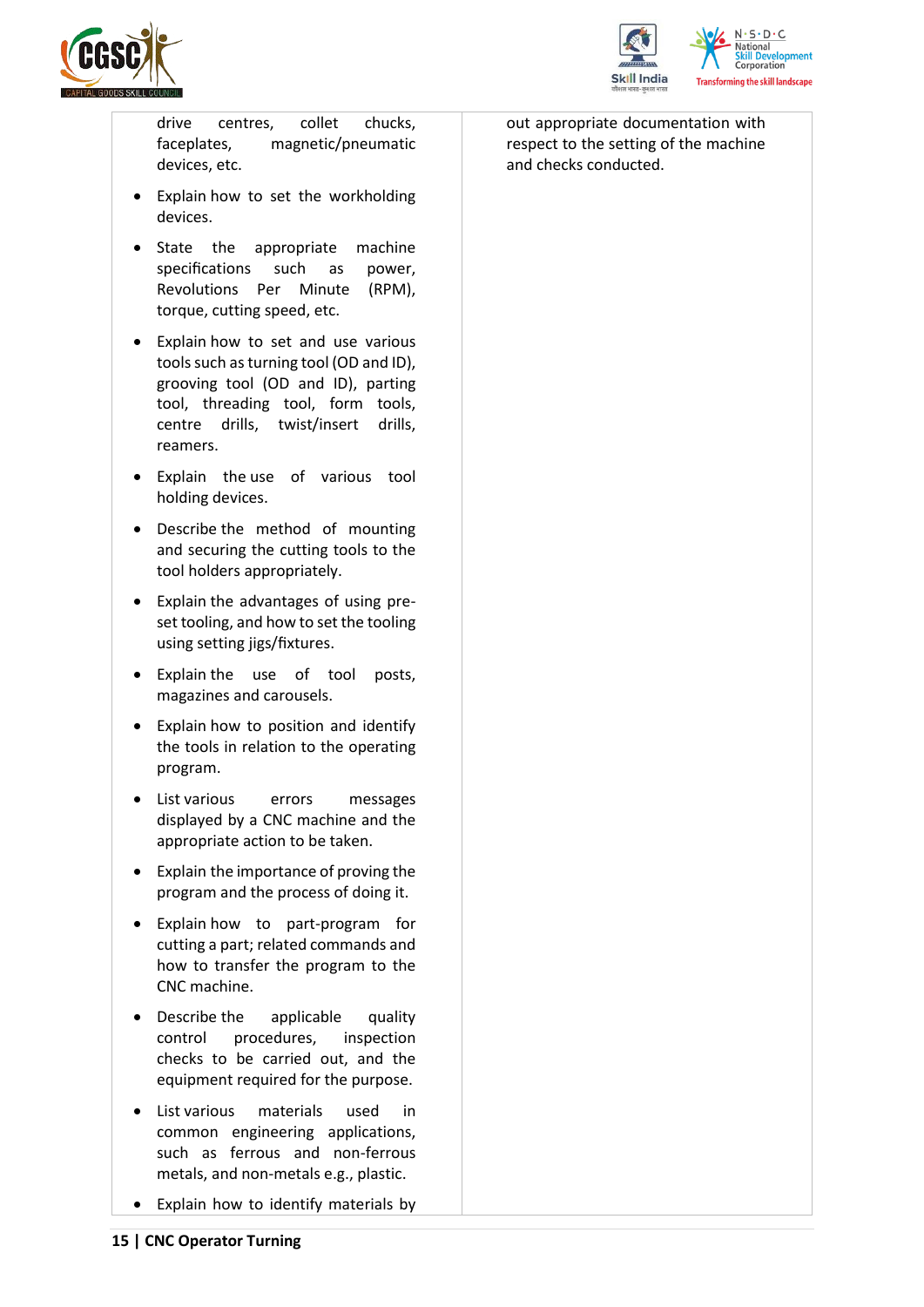



drive centres, collet chucks, faceplates, magnetic/pneumatic devices, etc.

- Explain how to set the workholding devices.
- State the appropriate machine specifications such as power, Revolutions Per Minute (RPM), torque, cutting speed, etc.
- Explain how to set and use various tools such as turning tool (OD and ID), grooving tool (OD and ID), parting tool, threading tool, form tools, centre drills, twist/insert drills, reamers.
- Explain the use of various tool holding devices.
- Describe the method of mounting and securing the cutting tools to the tool holders appropriately.
- Explain the advantages of using preset tooling, and how to set the tooling using setting jigs/fixtures.
- Explain the use of tool posts, magazines and carousels.
- Explain how to position and identify the tools in relation to the operating program.
- List various errors messages displayed by a CNC machine and the appropriate action to be taken.
- Explain the importance of proving the program and the process of doing it.
- Explain how to part-program for cutting a part; related commands and how to transfer the program to the CNC machine.
- Describe the applicable quality control procedures, inspection checks to be carried out, and the equipment required for the purpose.
- List various materials used in common engineering applications, such as ferrous and non-ferrous metals, and non-metals e.g., plastic.
- Explain how to identify materials by

out appropriate documentation with respect to the setting of the machine and checks conducted.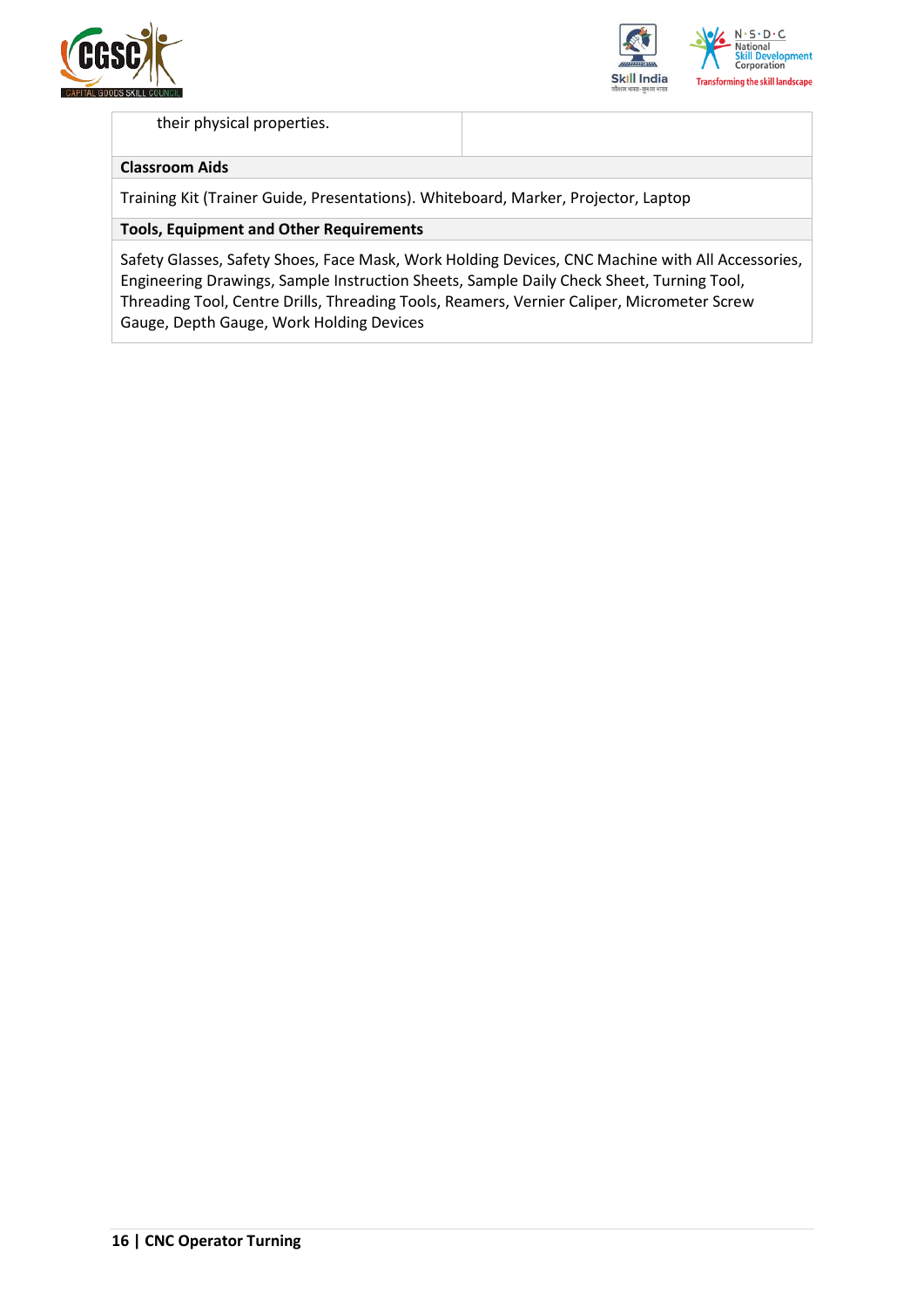



### their physical properties.

### **Classroom Aids**

Training Kit (Trainer Guide, Presentations). Whiteboard, Marker, Projector, Laptop

### **Tools, Equipment and Other Requirements**

Safety Glasses, Safety Shoes, Face Mask, Work Holding Devices, CNC Machine with All Accessories, Engineering Drawings, Sample Instruction Sheets, Sample Daily Check Sheet, Turning Tool, Threading Tool, Centre Drills, Threading Tools, Reamers, Vernier Caliper, Micrometer Screw Gauge, Depth Gauge, Work Holding Devices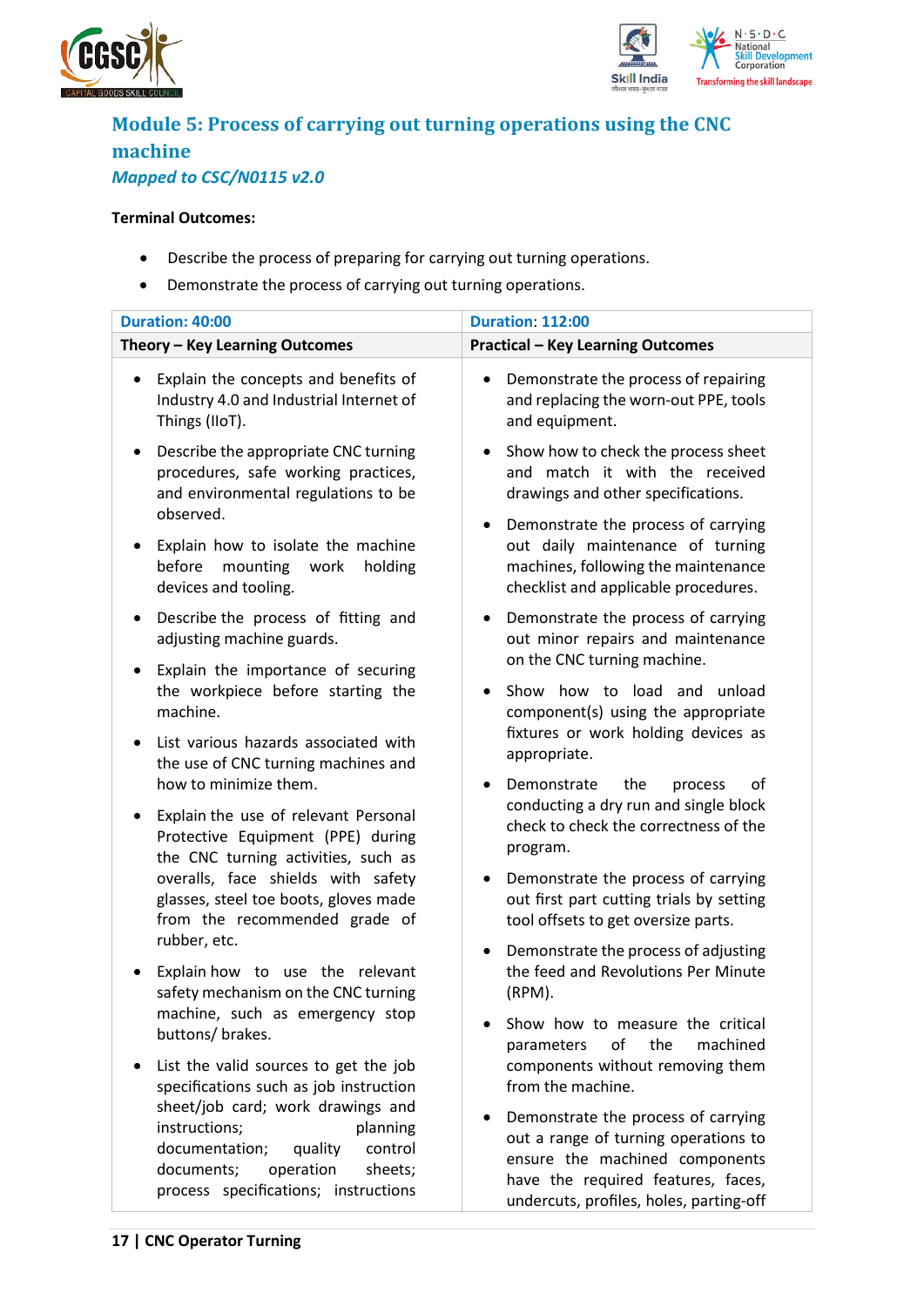



## <span id="page-16-0"></span>**Module 5: Process of carrying out turning operations using the CNC machine** *Mapped to CSC/N0115 v2.0*

### **Terminal Outcomes:**

- Describe the process of preparing for carrying out turning operations.
- Demonstrate the process of carrying out turning operations.

| Duration: 40:00                                                                                                                                 | <b>Duration: 112:00</b>                                                                                                                                                                             |
|-------------------------------------------------------------------------------------------------------------------------------------------------|-----------------------------------------------------------------------------------------------------------------------------------------------------------------------------------------------------|
| Theory - Key Learning Outcomes                                                                                                                  | <b>Practical - Key Learning Outcomes</b>                                                                                                                                                            |
| Explain the concepts and benefits of<br>٠<br>Industry 4.0 and Industrial Internet of<br>Things (IIoT).                                          | Demonstrate the process of repairing<br>٠<br>and replacing the worn-out PPE, tools<br>and equipment.                                                                                                |
| Describe the appropriate CNC turning<br>٠<br>procedures, safe working practices,<br>and environmental regulations to be<br>observed.            | Show how to check the process sheet<br>and match it with the received<br>drawings and other specifications.                                                                                         |
| Explain how to isolate the machine<br>mounting<br>before<br>work<br>holding<br>devices and tooling.                                             | Demonstrate the process of carrying<br>$\bullet$<br>out daily maintenance of turning<br>machines, following the maintenance<br>checklist and applicable procedures.                                 |
| Describe the process of fitting and<br>٠<br>adjusting machine guards.                                                                           | Demonstrate the process of carrying<br>$\bullet$<br>out minor repairs and maintenance<br>on the CNC turning machine.                                                                                |
| Explain the importance of securing<br>٠<br>the workpiece before starting the<br>machine.                                                        | Show how to load and unload<br>$\bullet$<br>component(s) using the appropriate                                                                                                                      |
| List various hazards associated with<br>the use of CNC turning machines and<br>how to minimize them.                                            | fixtures or work holding devices as<br>appropriate.<br>Demonstrate<br>the<br>οf<br>process<br>$\bullet$                                                                                             |
| Explain the use of relevant Personal<br>Protective Equipment (PPE) during<br>the CNC turning activities, such as                                | conducting a dry run and single block<br>check to check the correctness of the<br>program.                                                                                                          |
| overalls, face shields with safety<br>glasses, steel toe boots, gloves made<br>from the recommended grade of                                    | Demonstrate the process of carrying<br>out first part cutting trials by setting<br>tool offsets to get oversize parts.                                                                              |
| rubber, etc.<br>Explain how to use the relevant<br>safety mechanism on the CNC turning                                                          | Demonstrate the process of adjusting<br>٠<br>the feed and Revolutions Per Minute<br>(RPM).                                                                                                          |
| machine, such as emergency stop<br>buttons/ brakes.                                                                                             | Show how to measure the critical<br>of<br>the<br>machined<br>parameters                                                                                                                             |
| List the valid sources to get the job<br>٠<br>specifications such as job instruction<br>sheet/job card; work drawings and                       | components without removing them<br>from the machine.                                                                                                                                               |
| instructions;<br>planning<br>documentation;<br>quality<br>control<br>documents;<br>operation<br>sheets;<br>process specifications; instructions | Demonstrate the process of carrying<br>out a range of turning operations to<br>ensure the machined components<br>have the required features, faces,<br>والمستحير والمتحارب والمنافة ومتعر المستحدثة |

undercuts, profiles, holes, parting-off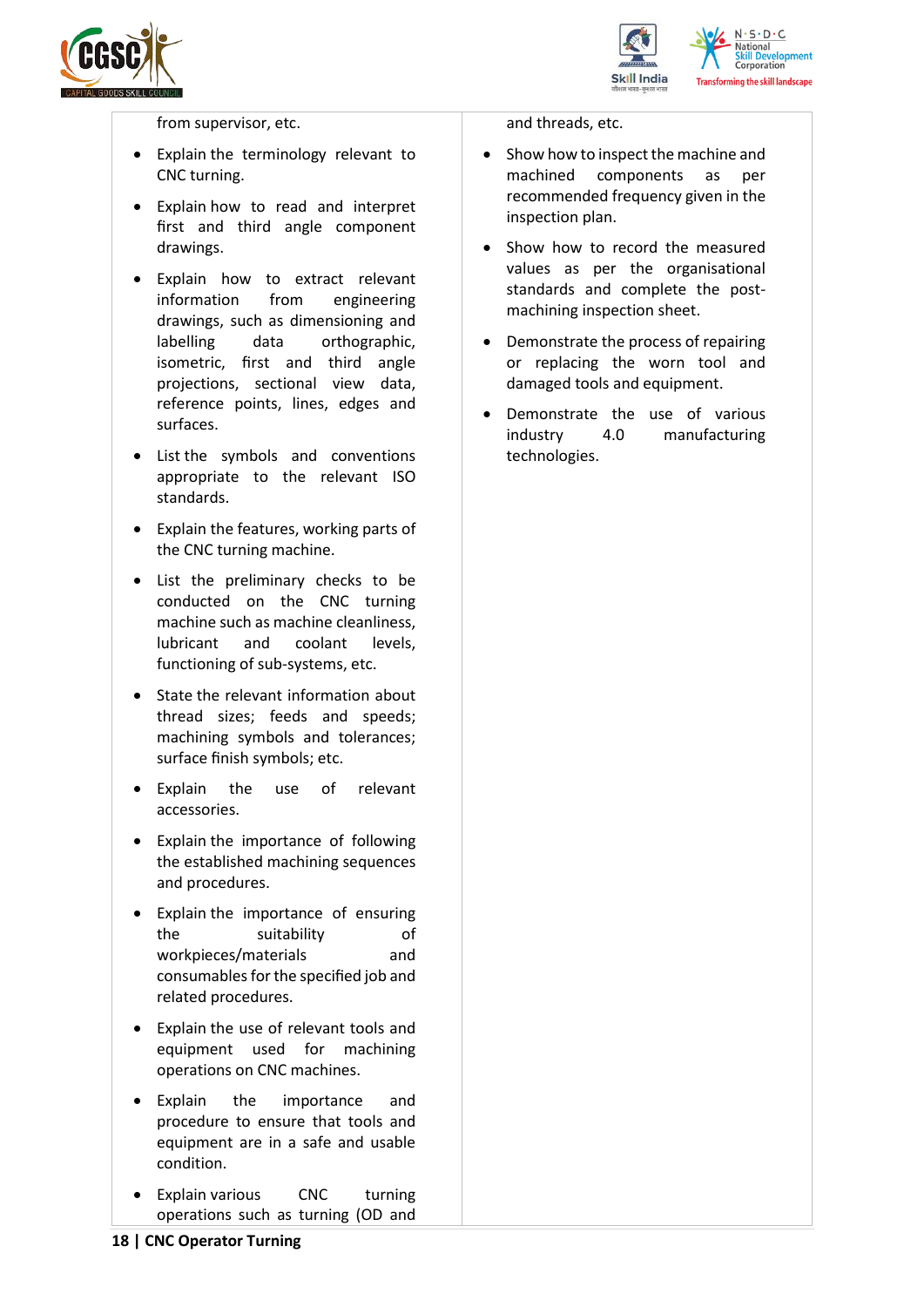



from supervisor, etc.

- Explain the terminology relevant to CNC turning.
- Explain how to read and interpret first and third angle component drawings.
- Explain how to extract relevant information from engineering drawings, such as dimensioning and labelling data orthographic, isometric, first and third angle projections, sectional view data, reference points, lines, edges and surfaces.
- List the symbols and conventions appropriate to the relevant ISO standards.
- Explain the features, working parts of the CNC turning machine.
- List the preliminary checks to be conducted on the CNC turning machine such as machine cleanliness, lubricant and coolant levels, functioning of sub-systems, etc.
- State the relevant information about thread sizes; feeds and speeds; machining symbols and tolerances; surface finish symbols; etc.
- Explain the use of relevant accessories.
- Explain the importance of following the established machining sequences and procedures.
- Explain the importance of ensuring the suitability of workpieces/materials and consumables for the specified job and related procedures.
- Explain the use of relevant tools and equipment used for machining operations on CNC machines.
- Explain the importance and procedure to ensure that tools and equipment are in a safe and usable condition.
- Explain various CNC turning operations such as turning (OD and

and threads, etc.

- Show how to inspect the machine and machined components as per recommended frequency given in the inspection plan.
- Show how to record the measured values as per the organisational standards and complete the postmachining inspection sheet.
- Demonstrate the process of repairing or replacing the worn tool and damaged tools and equipment.
- Demonstrate the use of various industry 4.0 manufacturing technologies.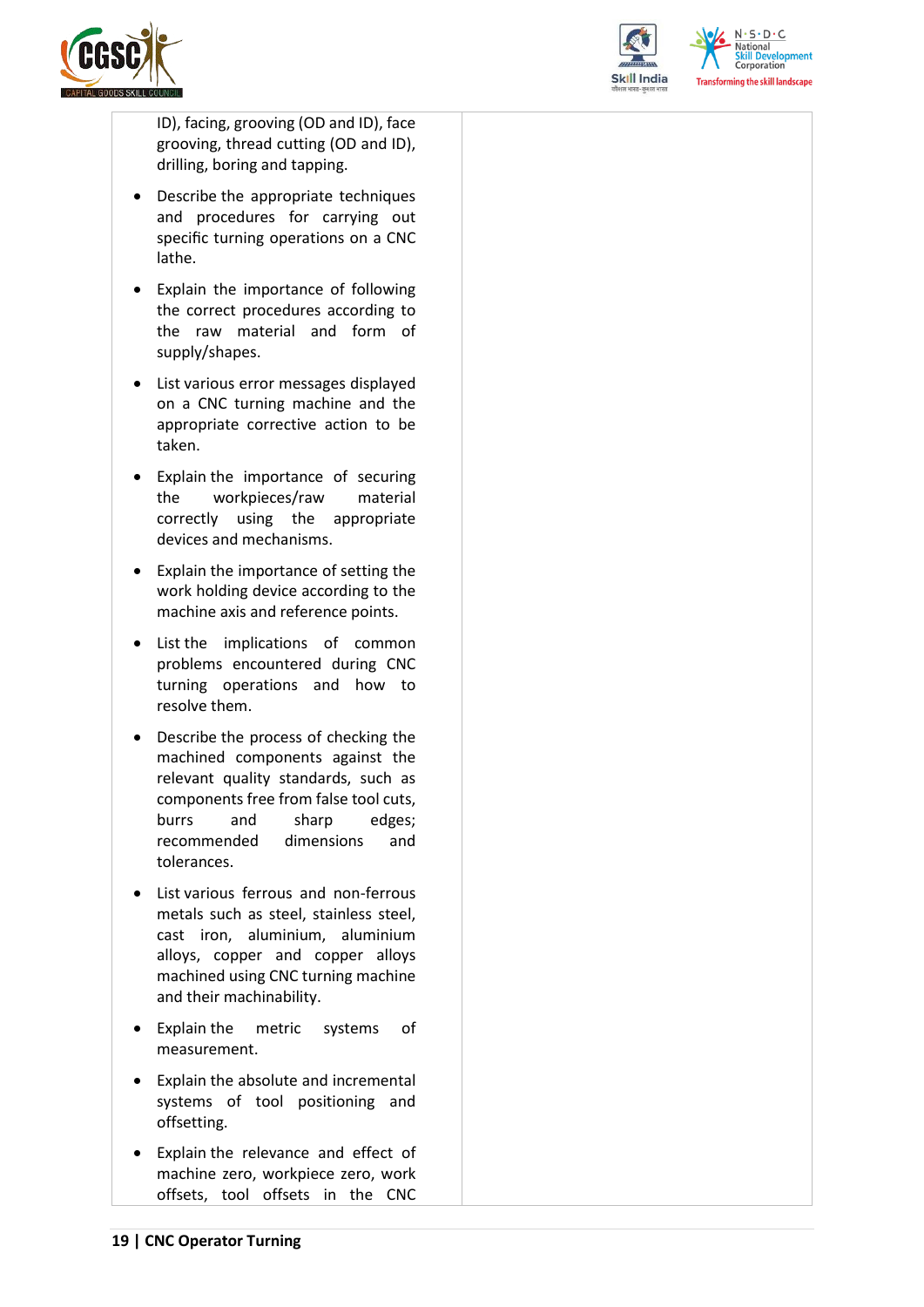



elopment

ID), facing, grooving (OD and ID), face grooving, thread cutting (OD and ID), drilling, boring and tapping.

- Describe the appropriate techniques and procedures for carrying out specific turning operations on a CNC lathe.
- Explain the importance of following the correct procedures according to the raw material and form of supply/shapes.
- List various error messages displayed on a CNC turning machine and the appropriate corrective action to be taken.
- Explain the importance of securing the workpieces/raw material correctly using the appropriate devices and mechanisms.
- Explain the importance of setting the work holding device according to the machine axis and reference points.
- List the implications of common problems encountered during CNC turning operations and how to resolve them.
- Describe the process of checking the machined components against the relevant quality standards, such as components free from false tool cuts, burrs and sharp edges; recommended dimensions and tolerances.
- List various ferrous and non-ferrous metals such as steel, stainless steel, cast iron, aluminium, aluminium alloys, copper and copper alloys machined using CNC turning machine and their machinability.
- Explain the metric systems of measurement.
- Explain the absolute and incremental systems of tool positioning and offsetting.
- Explain the relevance and effect of machine zero, workpiece zero, work offsets, tool offsets in the CNC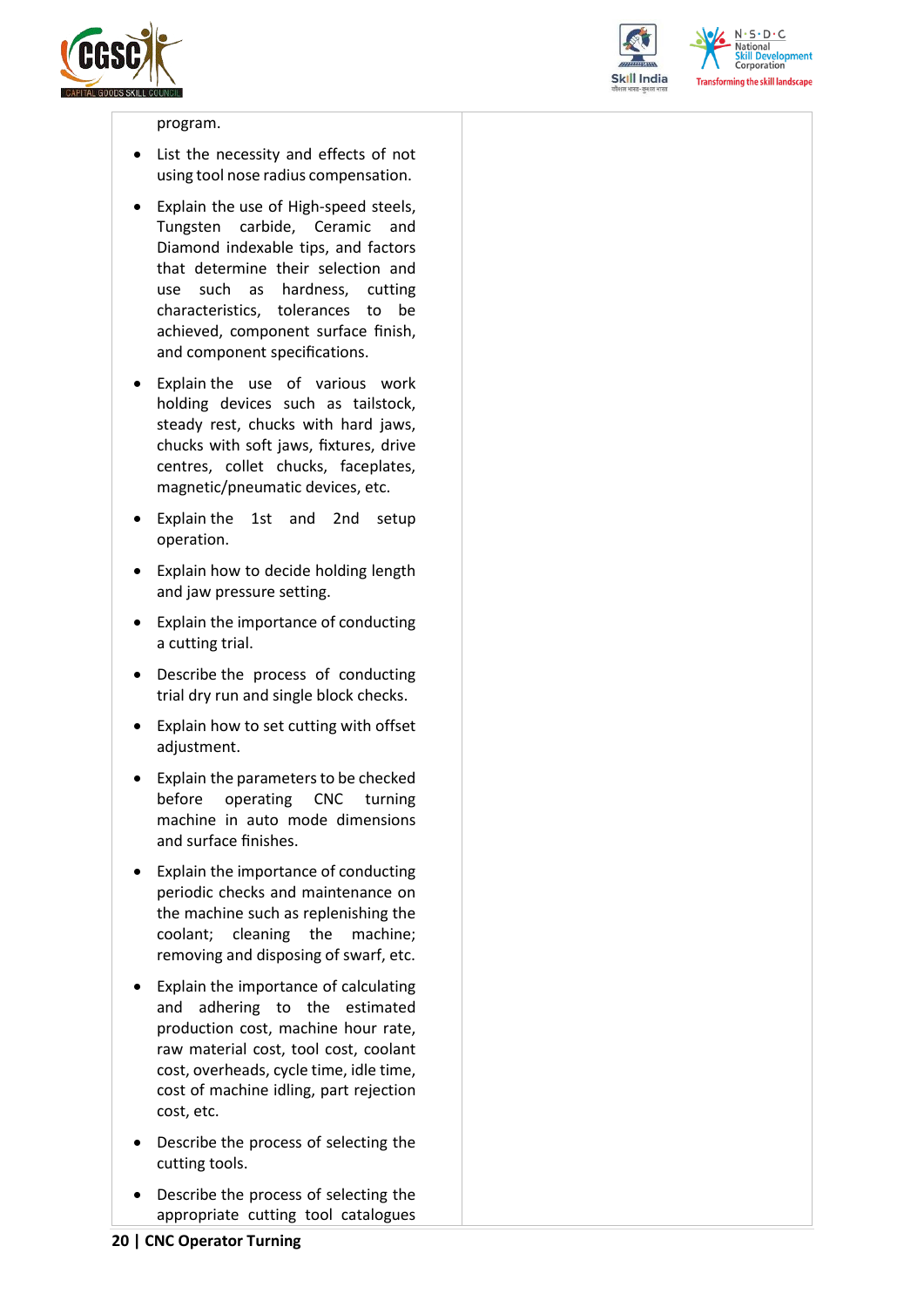



 $N \cdot S \cdot D \cdot C$ **National** relopment Corporation **Transforming the skill landscape** 

#### program.

- List the necessity and effects of not using tool nose radius compensation.
- Explain the use of High-speed steels, Tungsten carbide, Ceramic and Diamond indexable tips, and factors that determine their selection and use such as hardness, cutting characteristics, tolerances to be achieved, component surface finish, and component specifications.
- Explain the use of various work holding devices such as tailstock, steady rest, chucks with hard jaws, chucks with soft jaws, fixtures, drive centres, collet chucks, faceplates, magnetic/pneumatic devices, etc.
- Explain the 1st and 2nd setup operation.
- Explain how to decide holding length and jaw pressure setting.
- Explain the importance of conducting a cutting trial.
- Describe the process of conducting trial dry run and single block checks.
- Explain how to set cutting with offset adjustment.
- Explain the parameters to be checked before operating CNC turning machine in auto mode dimensions and surface finishes.
- Explain the importance of conducting periodic checks and maintenance on the machine such as replenishing the coolant; cleaning the machine; removing and disposing of swarf, etc.
- Explain the importance of calculating and adhering to the estimated production cost, machine hour rate, raw material cost, tool cost, coolant cost, overheads, cycle time, idle time, cost of machine idling, part rejection cost, etc.
- Describe the process of selecting the cutting tools.
- Describe the process of selecting the appropriate cutting tool catalogues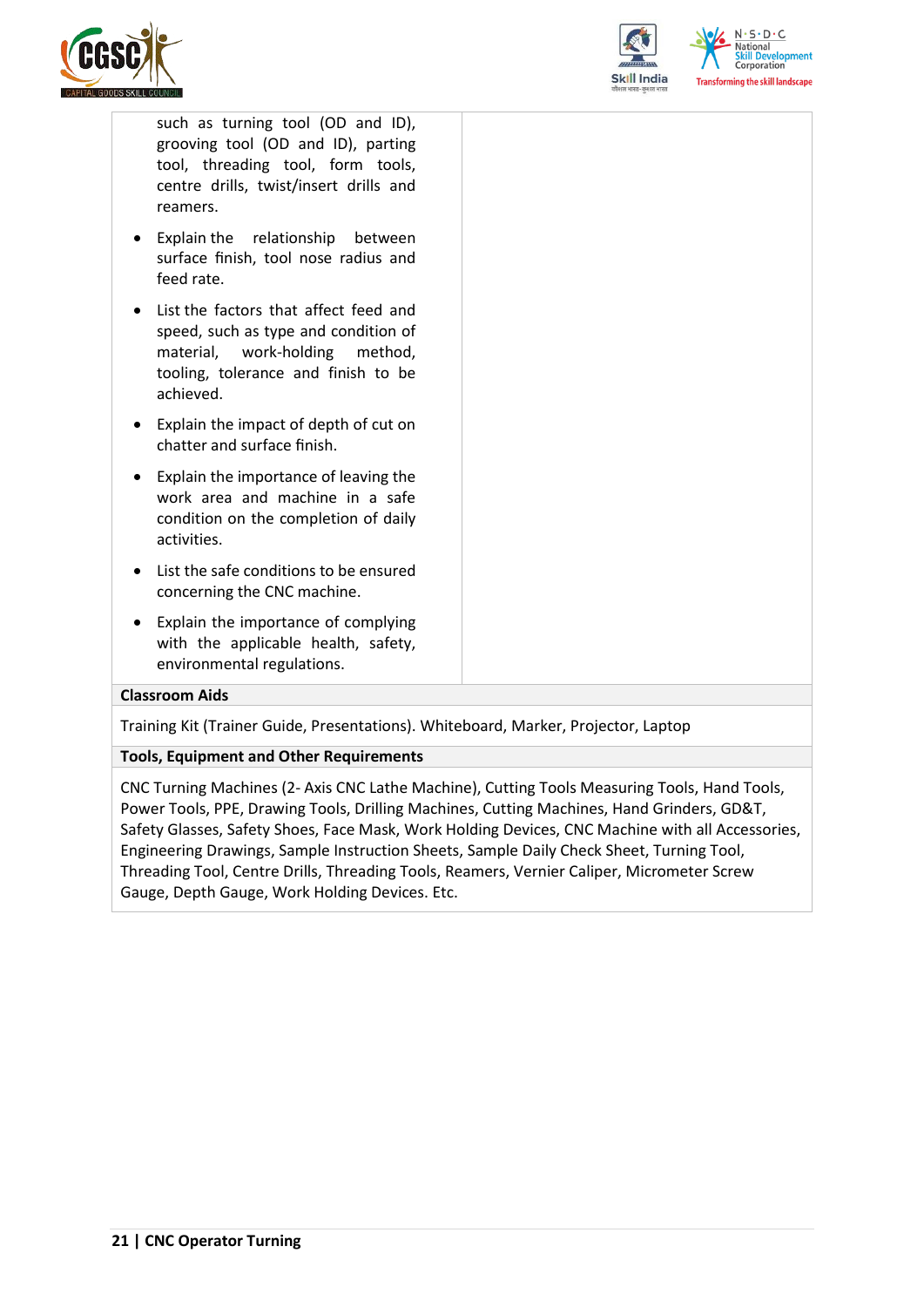



such as turning tool (OD and ID), grooving tool (OD and ID), parting tool, threading tool, form tools, centre drills, twist/insert drills and reamers.

- Explain the relationship between surface finish, tool nose radius and feed rate.
- List the factors that affect feed and speed, such as type and condition of material, work-holding method, tooling, tolerance and finish to be achieved.
- Explain the impact of depth of cut on chatter and surface finish.
- Explain the importance of leaving the work area and machine in a safe condition on the completion of daily activities.
- List the safe conditions to be ensured concerning the CNC machine.
- Explain the importance of complying with the applicable health, safety, environmental regulations.

#### **Classroom Aids**

Training Kit (Trainer Guide, Presentations). Whiteboard, Marker, Projector, Laptop

#### **Tools, Equipment and Other Requirements**

CNC Turning Machines (2- Axis CNC Lathe Machine), Cutting Tools Measuring Tools, Hand Tools, Power Tools, PPE, Drawing Tools, Drilling Machines, Cutting Machines, Hand Grinders, GD&T, Safety Glasses, Safety Shoes, Face Mask, Work Holding Devices, CNC Machine with all Accessories, Engineering Drawings, Sample Instruction Sheets, Sample Daily Check Sheet, Turning Tool, Threading Tool, Centre Drills, Threading Tools, Reamers, Vernier Caliper, Micrometer Screw Gauge, Depth Gauge, Work Holding Devices. Etc.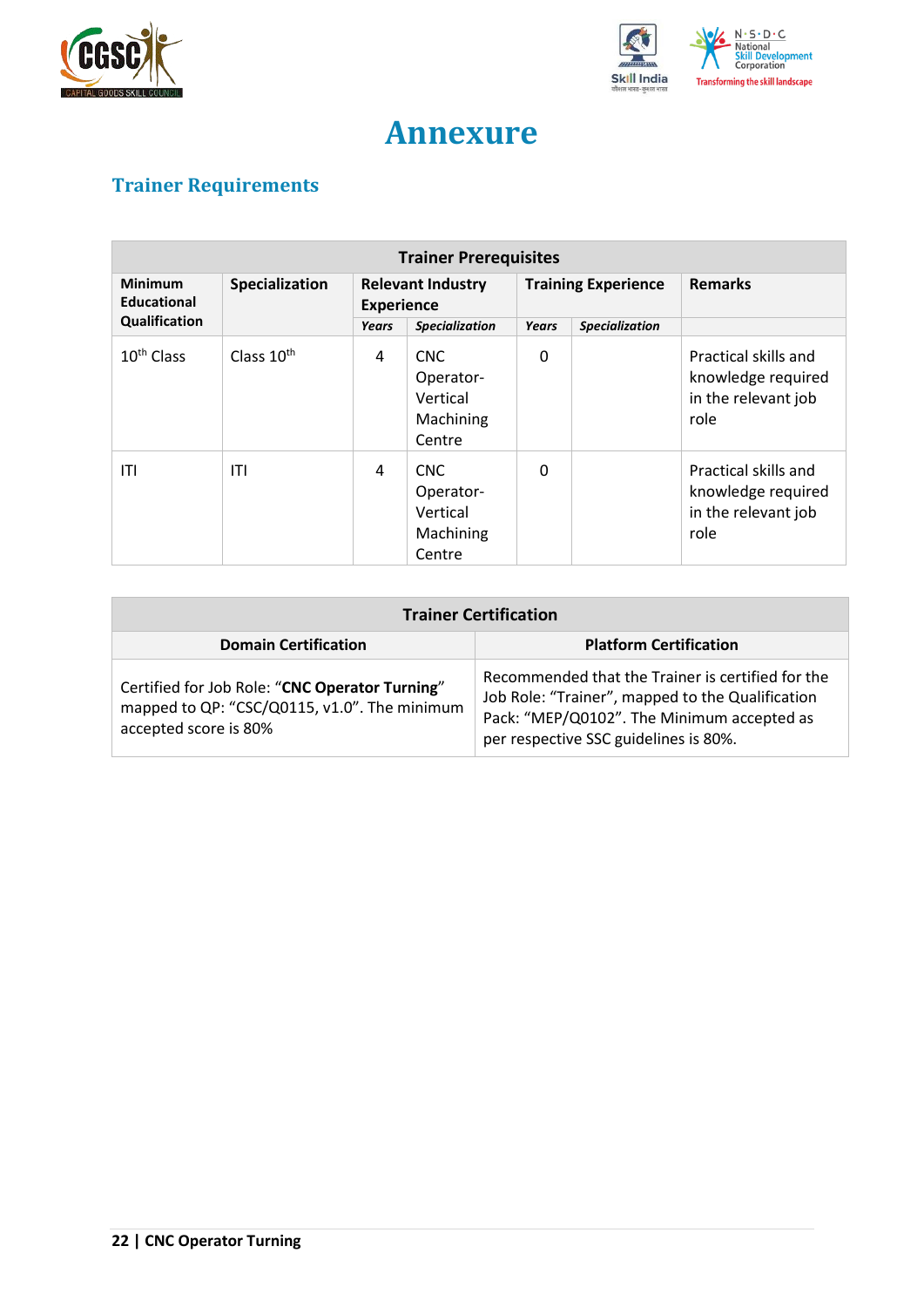



## **Annexure**

## <span id="page-21-1"></span><span id="page-21-0"></span>**Trainer Requirements**

| <b>Trainer Prerequisites</b>  |                |                                               |                                                            |                            |                       |                                                                           |  |
|-------------------------------|----------------|-----------------------------------------------|------------------------------------------------------------|----------------------------|-----------------------|---------------------------------------------------------------------------|--|
| Minimum<br><b>Educational</b> | Specialization | <b>Relevant Industry</b><br><b>Experience</b> |                                                            | <b>Training Experience</b> |                       | <b>Remarks</b>                                                            |  |
| Qualification                 |                | Years                                         | <b>Specialization</b>                                      | Years                      | <b>Specialization</b> |                                                                           |  |
| 10 <sup>th</sup> Class        | Class $10th$   | 4                                             | <b>CNC</b><br>Operator-<br>Vertical<br>Machining<br>Centre | 0                          |                       | Practical skills and<br>knowledge required<br>in the relevant job<br>role |  |
| ITI                           | ITI            | 4                                             | <b>CNC</b><br>Operator-<br>Vertical<br>Machining<br>Centre | 0                          |                       | Practical skills and<br>knowledge required<br>in the relevant job<br>role |  |

| <b>Trainer Certification</b>                                                                                            |                                                                                                                                                                                              |  |  |  |
|-------------------------------------------------------------------------------------------------------------------------|----------------------------------------------------------------------------------------------------------------------------------------------------------------------------------------------|--|--|--|
| <b>Domain Certification</b>                                                                                             | <b>Platform Certification</b>                                                                                                                                                                |  |  |  |
| Certified for Job Role: "CNC Operator Turning"<br>mapped to QP: "CSC/Q0115, v1.0". The minimum<br>accepted score is 80% | Recommended that the Trainer is certified for the<br>Job Role: "Trainer", mapped to the Qualification<br>Pack: "MEP/Q0102". The Minimum accepted as<br>per respective SSC guidelines is 80%. |  |  |  |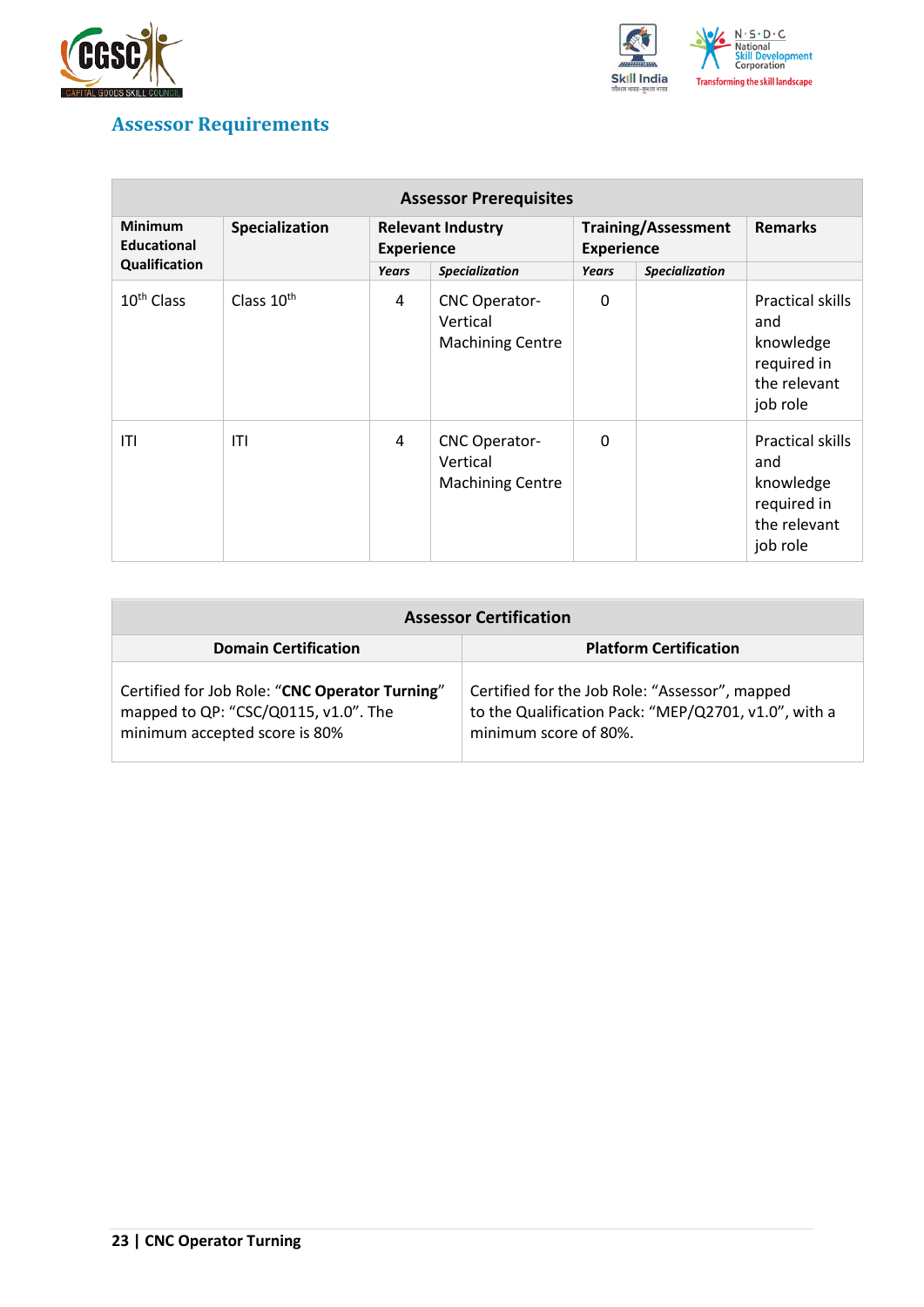



## <span id="page-22-0"></span>**Assessor Requirements**

| <b>Assessor Prerequisites</b>                         |                        |                                               |                                                             |                                                 |                       |                                                                                        |  |
|-------------------------------------------------------|------------------------|-----------------------------------------------|-------------------------------------------------------------|-------------------------------------------------|-----------------------|----------------------------------------------------------------------------------------|--|
| <b>Minimum</b><br><b>Educational</b><br>Qualification | Specialization         | <b>Relevant Industry</b><br><b>Experience</b> |                                                             | <b>Training/Assessment</b><br><b>Experience</b> |                       | <b>Remarks</b>                                                                         |  |
|                                                       |                        | <b>Years</b>                                  | <b>Specialization</b>                                       | <b>Years</b>                                    | <b>Specialization</b> |                                                                                        |  |
| 10 <sup>th</sup> Class                                | Class 10 <sup>th</sup> | 4                                             | <b>CNC Operator-</b><br>Vertical<br><b>Machining Centre</b> | 0                                               |                       | Practical skills<br>and<br>knowledge<br>required in<br>the relevant<br>job role        |  |
| ITI                                                   | ITI                    | 4                                             | <b>CNC Operator-</b><br>Vertical<br><b>Machining Centre</b> | $\mathbf{0}$                                    |                       | <b>Practical skills</b><br>and<br>knowledge<br>required in<br>the relevant<br>job role |  |

| <b>Assessor Certification</b>                                                                                           |                                                                                                                                 |  |  |  |
|-------------------------------------------------------------------------------------------------------------------------|---------------------------------------------------------------------------------------------------------------------------------|--|--|--|
| <b>Domain Certification</b>                                                                                             | <b>Platform Certification</b>                                                                                                   |  |  |  |
| Certified for Job Role: "CNC Operator Turning"<br>mapped to QP: "CSC/Q0115, v1.0". The<br>minimum accepted score is 80% | Certified for the Job Role: "Assessor", mapped<br>to the Qualification Pack: "MEP/Q2701, v1.0", with a<br>minimum score of 80%. |  |  |  |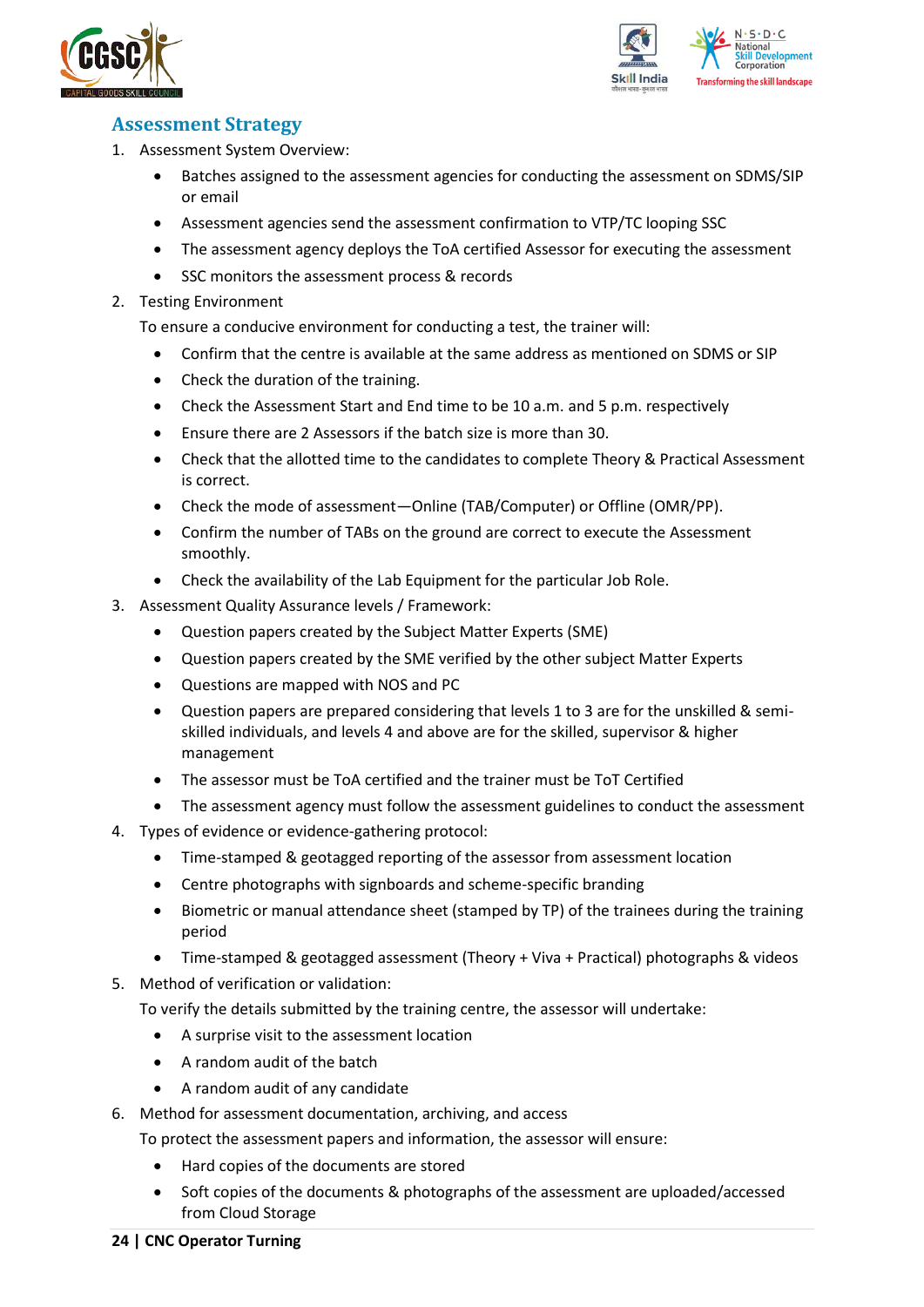



## <span id="page-23-0"></span>**Assessment Strategy**

- 1. Assessment System Overview:
	- Batches assigned to the assessment agencies for conducting the assessment on SDMS/SIP or email
	- Assessment agencies send the assessment confirmation to VTP/TC looping SSC
	- The assessment agency deploys the ToA certified Assessor for executing the assessment
	- SSC monitors the assessment process & records
- 2. Testing Environment

To ensure a conducive environment for conducting a test, the trainer will:

- Confirm that the centre is available at the same address as mentioned on SDMS or SIP
- Check the duration of the training.
- Check the Assessment Start and End time to be 10 a.m. and 5 p.m. respectively
- Ensure there are 2 Assessors if the batch size is more than 30.
- Check that the allotted time to the candidates to complete Theory & Practical Assessment is correct.
- Check the mode of assessment—Online (TAB/Computer) or Offline (OMR/PP).
- Confirm the number of TABs on the ground are correct to execute the Assessment smoothly.
- Check the availability of the Lab Equipment for the particular Job Role.
- 3. Assessment Quality Assurance levels / Framework:
	- Question papers created by the Subject Matter Experts (SME)
	- Question papers created by the SME verified by the other subject Matter Experts
	- Questions are mapped with NOS and PC
	- Question papers are prepared considering that levels 1 to 3 are for the unskilled & semiskilled individuals, and levels 4 and above are for the skilled, supervisor & higher management
	- The assessor must be ToA certified and the trainer must be ToT Certified
	- The assessment agency must follow the assessment guidelines to conduct the assessment
- 4. Types of evidence or evidence-gathering protocol:
	- Time-stamped & geotagged reporting of the assessor from assessment location
	- Centre photographs with signboards and scheme-specific branding
	- Biometric or manual attendance sheet (stamped by TP) of the trainees during the training period
	- Time-stamped & geotagged assessment (Theory + Viva + Practical) photographs & videos
- 5. Method of verification or validation:

To verify the details submitted by the training centre, the assessor will undertake:

- A surprise visit to the assessment location
- A random audit of the batch
- A random audit of any candidate
- 6. Method for assessment documentation, archiving, and access
	- To protect the assessment papers and information, the assessor will ensure:
		- Hard copies of the documents are stored
		- Soft copies of the documents & photographs of the assessment are uploaded/accessed from Cloud Storage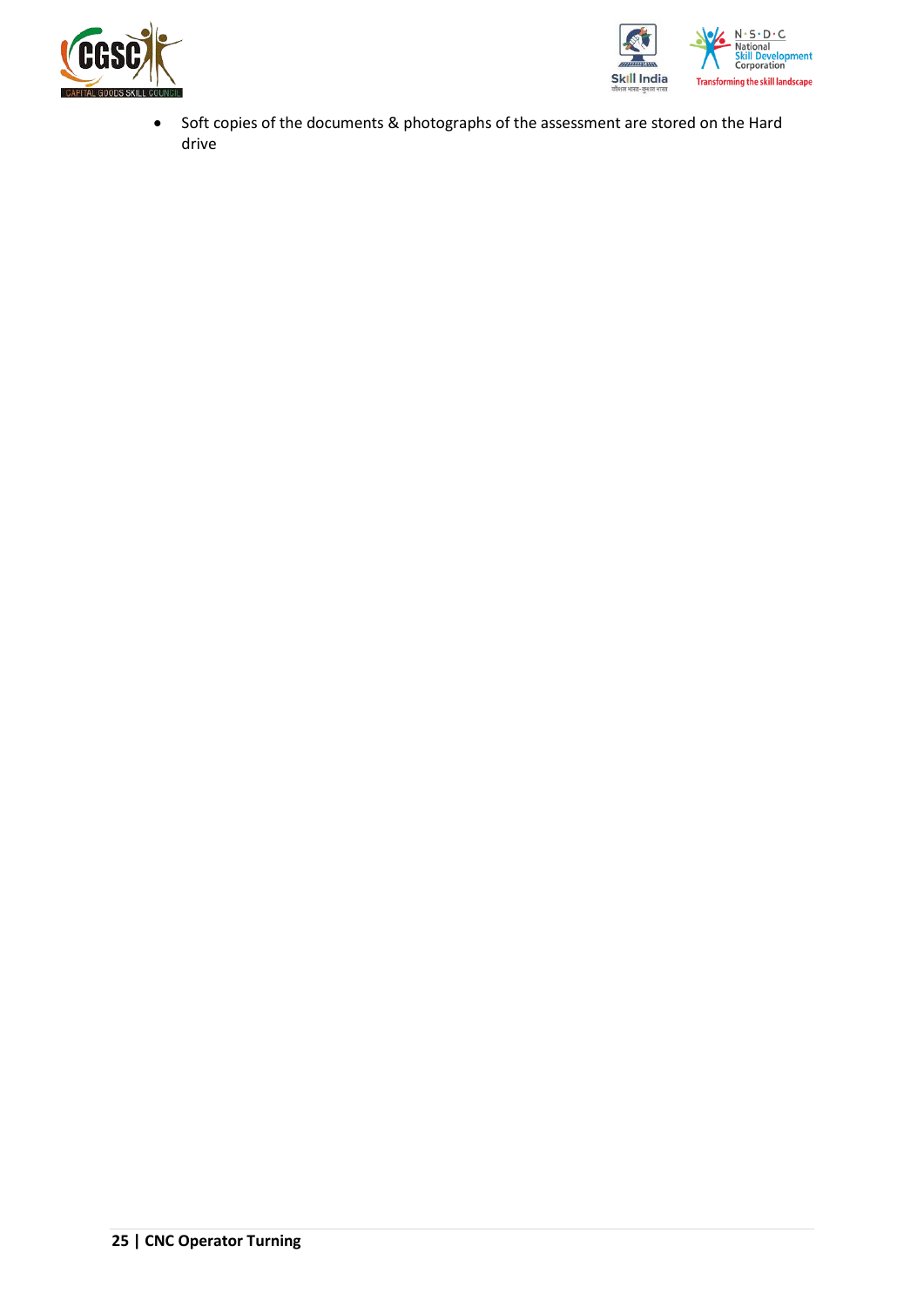



• Soft copies of the documents & photographs of the assessment are stored on the Hard drive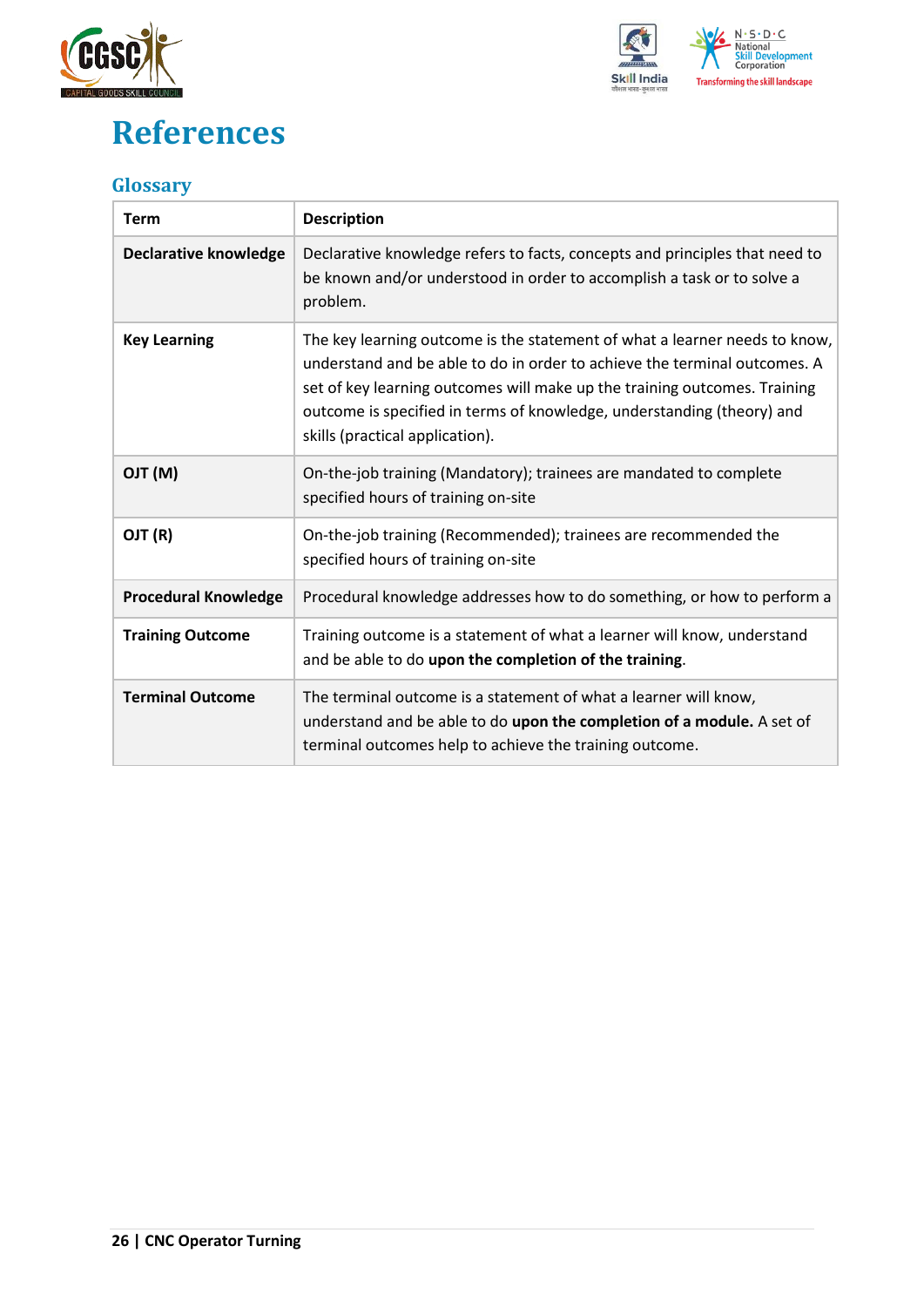

## <span id="page-25-0"></span>**References**



## <span id="page-25-1"></span>**Glossary**

| <b>Term</b>                  | <b>Description</b>                                                                                                                                                                                                                                                                                                                                |
|------------------------------|---------------------------------------------------------------------------------------------------------------------------------------------------------------------------------------------------------------------------------------------------------------------------------------------------------------------------------------------------|
| <b>Declarative knowledge</b> | Declarative knowledge refers to facts, concepts and principles that need to<br>be known and/or understood in order to accomplish a task or to solve a<br>problem.                                                                                                                                                                                 |
| <b>Key Learning</b>          | The key learning outcome is the statement of what a learner needs to know,<br>understand and be able to do in order to achieve the terminal outcomes. A<br>set of key learning outcomes will make up the training outcomes. Training<br>outcome is specified in terms of knowledge, understanding (theory) and<br>skills (practical application). |
| (M) TLO                      | On-the-job training (Mandatory); trainees are mandated to complete<br>specified hours of training on-site                                                                                                                                                                                                                                         |
| OJT (R)                      | On-the-job training (Recommended); trainees are recommended the<br>specified hours of training on-site                                                                                                                                                                                                                                            |
| <b>Procedural Knowledge</b>  | Procedural knowledge addresses how to do something, or how to perform a                                                                                                                                                                                                                                                                           |
| <b>Training Outcome</b>      | Training outcome is a statement of what a learner will know, understand<br>and be able to do upon the completion of the training.                                                                                                                                                                                                                 |
| <b>Terminal Outcome</b>      | The terminal outcome is a statement of what a learner will know,<br>understand and be able to do upon the completion of a module. A set of<br>terminal outcomes help to achieve the training outcome.                                                                                                                                             |